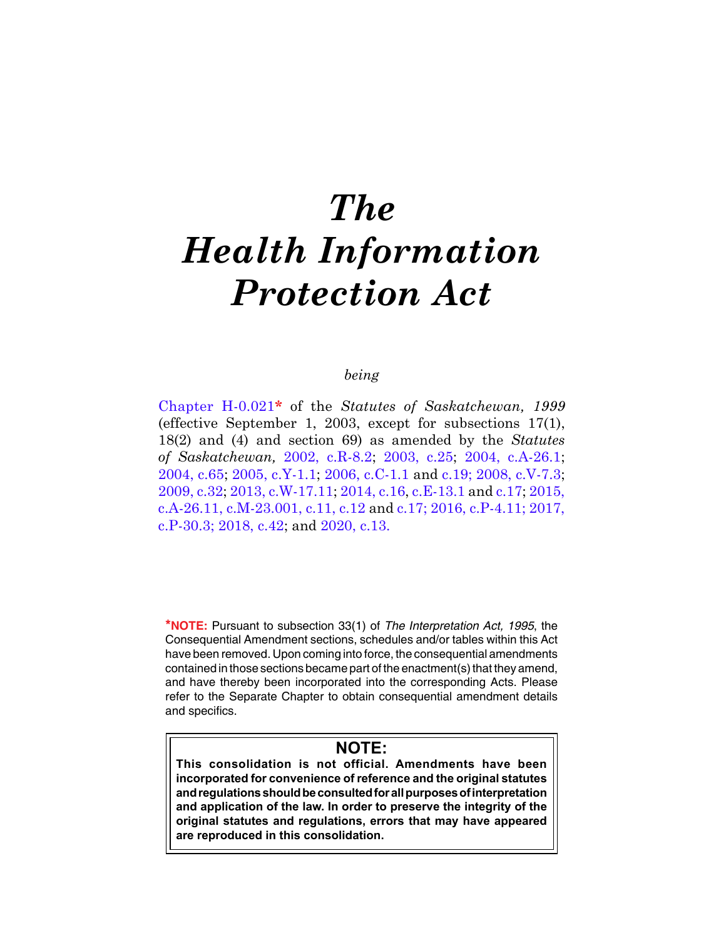# *The Health Information Protection Act*

# *being*

[Chapter H-0.021](https://publications.saskatchewan.ca:443/api/v1/products/3540/formats/6670/download)**\*** of the *Statutes of Saskatchewan, 1999* (effective September 1, 2003, except for subsections 17(1), 18(2) and (4) and section 69) as amended by the *Statutes of Saskatchewan,* [2002, c.R-8.2;](https://publications.saskatchewan.ca:443/api/v1/products/4282/formats/8154/download) [2003, c.25](https://publications.saskatchewan.ca:443/api/v1/products/4488/formats/8557/download); [2004, c.A-26.1](https://publications.saskatchewan.ca:443/api/v1/products/9313/formats/14011/download); [2004, c.65](https://publications.saskatchewan.ca:443/api/v1/products/9537/formats/14450/download); [2005, c.Y-1.1](https://publications.saskatchewan.ca:443/api/v1/products/11589/formats/17191/download); [2006, c.C-1.1](https://publications.saskatchewan.ca:443/api/v1/products/12168/formats/18111/download) and c.[19](https://publications.saskatchewan.ca:443/api/v1/products/12127/formats/18046/download); [2008, c.V-7.3](https://publications.saskatchewan.ca:443/api/v1/products/25168/formats/32464/download); [2009, c.32](https://publications.saskatchewan.ca:443/api/v1/products/28118/formats/35236/download); [2013, c.W-17.11](https://publications.saskatchewan.ca:443/api/v1/products/67232/formats/74712/download); [2014, c.16,](https://publications.saskatchewan.ca:443/api/v1/products/70694/formats/78615/download) [c.E-13.1](https://publications.saskatchewan.ca:443/api/v1/products/70626/formats/78515/download) and [c.17;](https://publications.saskatchewan.ca:443/api/v1/products/70695/formats/78617/download) [2015,](https://publications.saskatchewan.ca:443/api/v1/products/73262/formats/81872/download)  [c.A-26.11,](https://publications.saskatchewan.ca:443/api/v1/products/73262/formats/81872/download) [c.M-23.001,](https://publications.saskatchewan.ca:443/api/v1/products/77185/formats/86505/download) [c.11](https://publications.saskatchewan.ca:443/api/v1/products/73234/formats/81826/download), [c.12](https://publications.saskatchewan.ca:443/api/v1/products/73235/formats/81828/download12.pdf) an[d c.17](https://publications.saskatchewan.ca:443/api/v1/products/73240/formats/81838/download); [2016, c.P-4.11](https://publications.saskatchewan.ca:443/api/v1/products/83670/formats/96851/download); [2017,](https://publications.saskatchewan.ca:443/api/v1/products/85604/formats/99102/download)  [c.P-30.3;](https://publications.saskatchewan.ca:443/api/v1/products/85604/formats/99102/download) [2018, c.42;](https://publications.saskatchewan.ca:443/api/v1/products/90531/formats/107441/download) and [2020, c.13.](https://publications.saskatchewan.ca:443/api/v1/products/105167/formats/117297/download)

**\*NOTE:** Pursuant to subsection 33(1) of *The Interpretation Act, 1995*, the Consequential Amendment sections, schedules and/or tables within this Act have been removed. Upon coming into force, the consequential amendments contained in those sections became part of the enactment(s) that they amend, and have thereby been incorporated into the corresponding Acts. Please refer to the Separate Chapter to obtain consequential amendment details and specifics.

# **NOTE:**

**This consolidation is not official. Amendments have been incorporated for convenience of reference and the original statutes and regulations should be consulted for all purposes of interpretation and application of the law. In order to preserve the integrity of the original statutes and regulations, errors that may have appeared are reproduced in this consolidation.**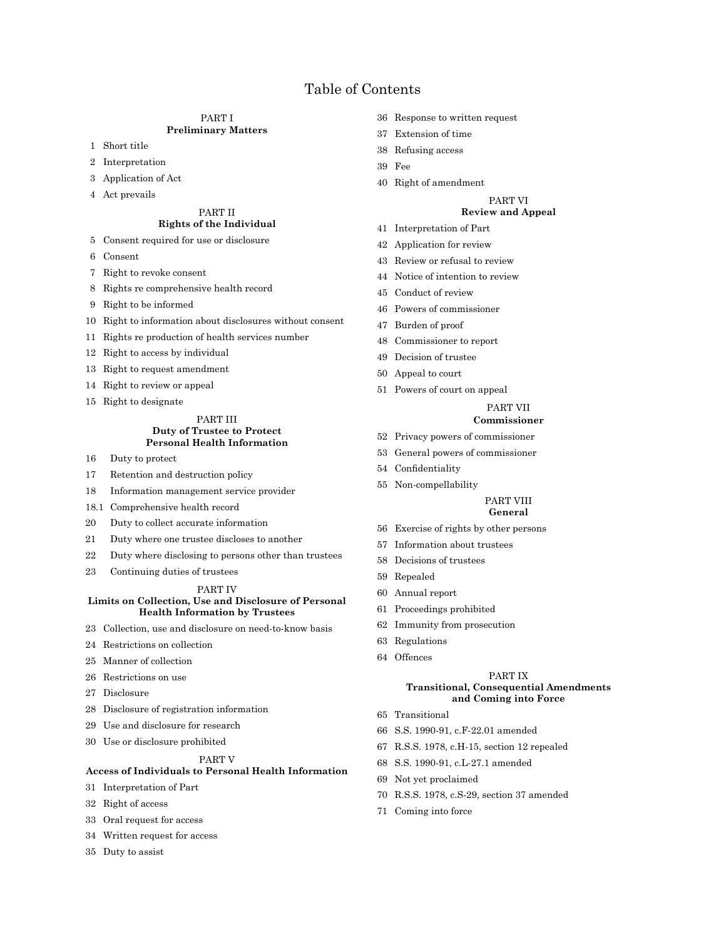# Table of Contents

#### PART I **Preliminary Matters**

- Short title
- Interpretation
- Application of Act
- Act prevails

#### PART II **Rights of the Individual**

- Consent required for use or disclosure
- Consent
- Right to revoke consent
- Rights re comprehensive health record
- Right to be informed
- Right to information about disclosures without consent
- Rights re production of health services number
- Right to access by individual
- Right to request amendment
- Right to review or appeal
- Right to designate

#### PART III **Duty of Trustee to Protect Personal Health Information**

- Duty to protect
- Retention and destruction policy
- Information management service provider
- 18.1 Comprehensive health record
- Duty to collect accurate information
- Duty where one trustee discloses to another
- Duty where disclosing to persons other than trustees
- Continuing duties of trustees

#### PART IV

#### **Limits on Collection, Use and Disclosure of Personal Health Information by Trustees**

- Collection, use and disclosure on need-to-know basis
- Restrictions on collection
- Manner of collection
- Restrictions on use
- Disclosure
- Disclosure of registration information
- Use and disclosure for research
- Use or disclosure prohibited

#### PART V

#### **Access of Individuals to Personal Health Information**

- Interpretation of Part
- Right of access
- Oral request for access
- Written request for access
- Duty to assist
- Response to written request
- Extension of time
- Refusing access
- Fee
- Right of amendment

## PART VI

## **Review and Appeal**

- Interpretation of Part
- Application for review
- Review or refusal to review
- Notice of intention to review
- Conduct of review
- Powers of commissioner
- Burden of proof
- Commissioner to report
- Decision of trustee
- Appeal to court
- Powers of court on appeal

#### PART VII **Commissioner**

- Privacy powers of commissioner
- General powers of commissioner
- 54 Confidentiality
- Non-compellability

## PART VIII

## **General**

- Exercise of rights by other persons
- Information about trustees
- Decisions of trustees
- Repealed
- Annual report
- Proceedings prohibited
- Immunity from prosecution
- Regulations
- Offences

#### PART IX

#### **Transitional, Consequential Amendments and Coming into Force**

- Transitional
- S.S. 1990-91, c.F-22.01 amended
- R.S.S. 1978, c.H-15, section 12 repealed
- S.S. 1990-91, c.L-27.1 amended
- Not yet proclaimed
- R.S.S. 1978, c.S-29, section 37 amended
- Coming into force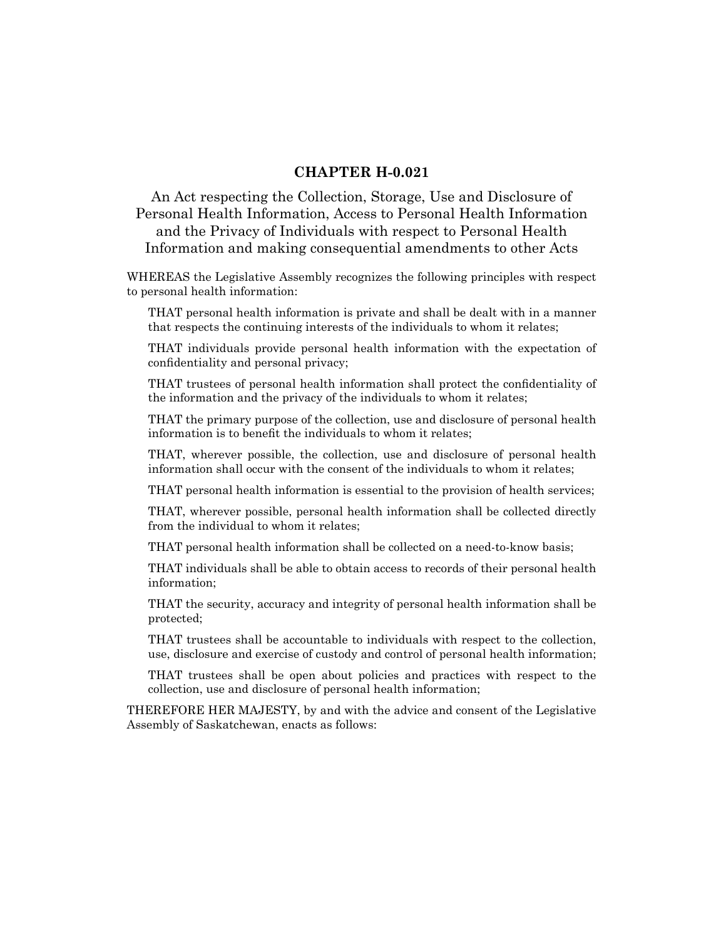# **CHAPTER H-0.021**

An Act respecting the Collection, Storage, Use and Disclosure of Personal Health Information, Access to Personal Health Information and the Privacy of Individuals with respect to Personal Health Information and making consequential amendments to other Acts

WHEREAS the Legislative Assembly recognizes the following principles with respect to personal health information:

THAT personal health information is private and shall be dealt with in a manner that respects the continuing interests of the individuals to whom it relates;

THAT individuals provide personal health information with the expectation of confidentiality and personal privacy;

THAT trustees of personal health information shall protect the confidentiality of the information and the privacy of the individuals to whom it relates;

THAT the primary purpose of the collection, use and disclosure of personal health information is to benefit the individuals to whom it relates;

THAT, wherever possible, the collection, use and disclosure of personal health information shall occur with the consent of the individuals to whom it relates;

THAT personal health information is essential to the provision of health services;

THAT, wherever possible, personal health information shall be collected directly from the individual to whom it relates;

THAT personal health information shall be collected on a need-to-know basis;

THAT individuals shall be able to obtain access to records of their personal health information;

THAT the security, accuracy and integrity of personal health information shall be protected;

THAT trustees shall be accountable to individuals with respect to the collection, use, disclosure and exercise of custody and control of personal health information;

THAT trustees shall be open about policies and practices with respect to the collection, use and disclosure of personal health information;

THEREFORE HER MAJESTY, by and with the advice and consent of the Legislative Assembly of Saskatchewan, enacts as follows: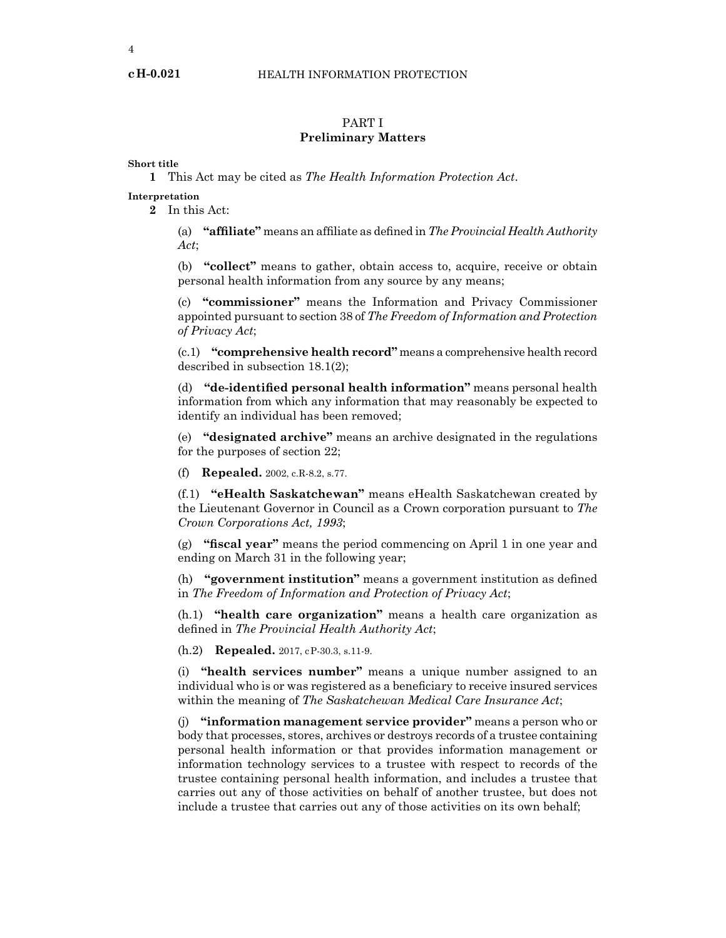## PART I **Preliminary Matters**

## **Short title**

**1** This Act may be cited as *The Health Information Protection Act*.

## **Interpretation**

**2** In this Act:

(a) **"affiliate"** means an affiliate as defined in *The Provincial Health Authority Act*;

(b) **"collect"** means to gather, obtain access to, acquire, receive or obtain personal health information from any source by any means;

(c) **"commissioner"** means the Information and Privacy Commissioner appointed pursuant to section 38 of *The Freedom of Information and Protection of Privacy Act*;

(c.1) **"comprehensive health record"** means a comprehensive health record described in subsection 18.1(2);

(d) **"de-identified personal health information"** means personal health information from which any information that may reasonably be expected to identify an individual has been removed;

(e) **"designated archive"** means an archive designated in the regulations for the purposes of section 22;

(f) **Repealed.** 2002, c.R-8.2, s.77.

(f.1) **"eHealth Saskatchewan"** means eHealth Saskatchewan created by the Lieutenant Governor in Council as a Crown corporation pursuant to *The Crown Corporations Act, 1993*;

(g) **"fiscal year"** means the period commencing on April 1 in one year and ending on March 31 in the following year;

(h) **"government institution"** means a government institution as defined in *The Freedom of Information and Protection of Privacy Act*;

(h.1) **"health care organization"** means a health care organization as defined in *The Provincial Health Authority Act*;

(h.2) **Repealed.** 2017, cP-30.3, s.11-9.

(i) **"health services number"** means a unique number assigned to an individual who is or was registered as a beneficiary to receive insured services within the meaning of *The Saskatchewan Medical Care Insurance Act*;

(j) **"information management service provider"** means a person who or body that processes, stores, archives or destroys records of a trustee containing personal health information or that provides information management or information technology services to a trustee with respect to records of the trustee containing personal health information, and includes a trustee that carries out any of those activities on behalf of another trustee, but does not include a trustee that carries out any of those activities on its own behalf;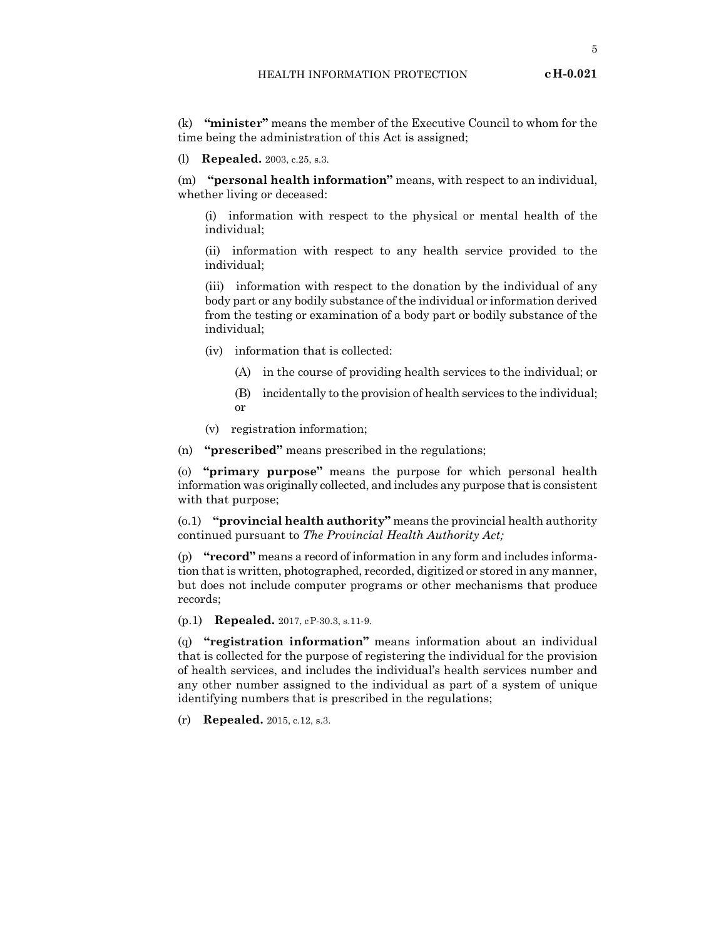(k) **"minister"** means the member of the Executive Council to whom for the time being the administration of this Act is assigned;

(l) **Repealed.** 2003, c.25, s.3.

(m) **"personal health information"** means, with respect to an individual, whether living or deceased:

(i) information with respect to the physical or mental health of the individual;

(ii) information with respect to any health service provided to the individual;

(iii) information with respect to the donation by the individual of any body part or any bodily substance of the individual or information derived from the testing or examination of a body part or bodily substance of the individual;

- (iv) information that is collected:
	- (A) in the course of providing health services to the individual; or
	- (B) incidentally to the provision of health services to the individual; or
- (v) registration information;

(n) **"prescribed"** means prescribed in the regulations;

(o) **"primary purpose"** means the purpose for which personal health information was originally collected, and includes any purpose that is consistent with that purpose;

(o.1) **"provincial health authority"** means the provincial health authority continued pursuant to *The Provincial Health Authority Act;*

(p) **"record"** means a record of information in any form and includes information that is written, photographed, recorded, digitized or stored in any manner, but does not include computer programs or other mechanisms that produce records;

(p.1) **Repealed.** 2017, cP-30.3, s.11-9.

(q) **"registration information"** means information about an individual that is collected for the purpose of registering the individual for the provision of health services, and includes the individual's health services number and any other number assigned to the individual as part of a system of unique identifying numbers that is prescribed in the regulations;

(r) **Repealed.** 2015, c.12, s.3.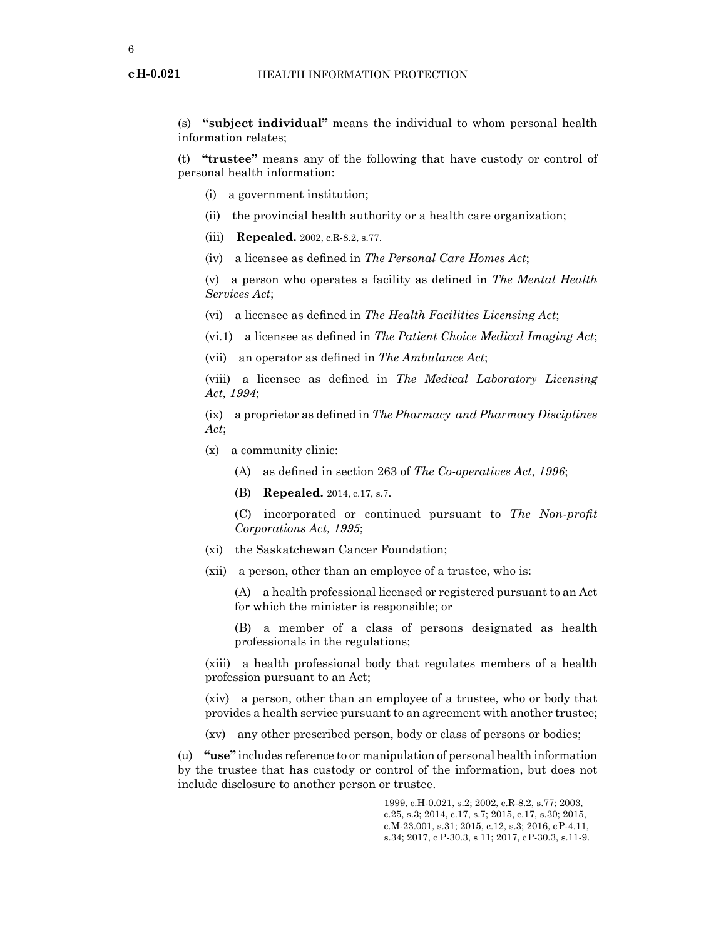(s) **"subject individual"** means the individual to whom personal health information relates;

(t) **"trustee"** means any of the following that have custody or control of personal health information:

- (i) a government institution;
- (ii) the provincial health authority or a health care organization;
- (iii) **Repealed.** 2002, c.R-8.2, s.77.
- (iv) a licensee as defined in *The Personal Care Homes Act*;

(v) a person who operates a facility as defined in *The Mental Health Services Act*;

(vi) a licensee as defined in *The Health Facilities Licensing Act*;

(vi.1) a licensee as defined in *The Patient Choice Medical Imaging Act*;

(vii) an operator as defined in *The Ambulance Act*;

(viii) a licensee as defined in *The Medical Laboratory Licensing Act, 1994*;

(ix) a proprietor as defined in *The Pharmacy and Pharmacy Disciplines Act*;

- (x) a community clinic:
	- (A) as defined in section 263 of *The Co-operatives Act, 1996*;

(B) **Repealed.** 2014, c.17, s.7.

(C) incorporated or continued pursuant to *The Non-profit Corporations Act, 1995*;

- (xi) the Saskatchewan Cancer Foundation;
- (xii) a person, other than an employee of a trustee, who is:

(A) a health professional licensed or registered pursuant to an Act for which the minister is responsible; or

(B) a member of a class of persons designated as health professionals in the regulations;

(xiii) a health professional body that regulates members of a health profession pursuant to an Act;

(xiv) a person, other than an employee of a trustee, who or body that provides a health service pursuant to an agreement with another trustee;

(xv) any other prescribed person, body or class of persons or bodies;

(u) **"use"** includes reference to or manipulation of personal health information by the trustee that has custody or control of the information, but does not include disclosure to another person or trustee.

> 1999, c.H-0.021, s.2; 2002, c.R-8.2, s.77; 2003, c.25, s.3; 2014, c.17, s.7; 2015, c.17, s.30; 2015, c.M-23.001, s.31; 2015, c.12, s.3; 2016, cP-4.11, s.34; 2017, c P-30.3, s 11; 2017, cP-30.3, s.11-9.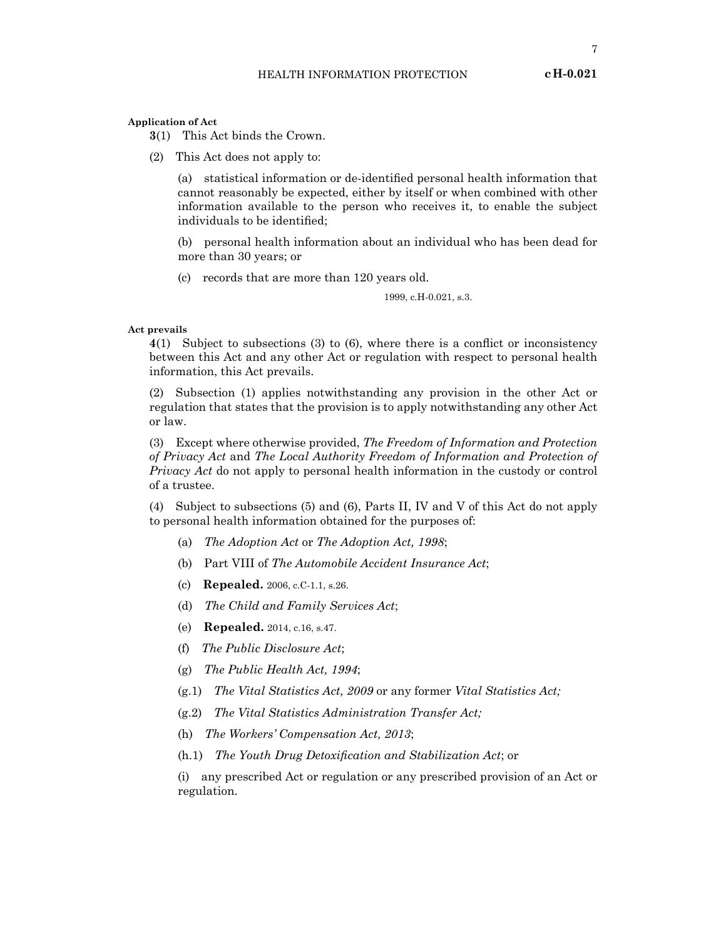**Application of Act**

**3**(1) This Act binds the Crown.

(2) This Act does not apply to:

(a) statistical information or de-identified personal health information that cannot reasonably be expected, either by itself or when combined with other information available to the person who receives it, to enable the subject individuals to be identified;

(b) personal health information about an individual who has been dead for more than 30 years; or

(c) records that are more than 120 years old.

1999, c.H-0.021, s.3.

#### **Act prevails**

**4**(1) Subject to subsections (3) to (6), where there is a conflict or inconsistency between this Act and any other Act or regulation with respect to personal health information, this Act prevails.

(2) Subsection (1) applies notwithstanding any provision in the other Act or regulation that states that the provision is to apply notwithstanding any other Act or law.

(3) Except where otherwise provided, *The Freedom of Information and Protection of Privacy Act* and *The Local Authority Freedom of Information and Protection of Privacy Act* do not apply to personal health information in the custody or control of a trustee.

(4) Subject to subsections (5) and (6), Parts II, IV and V of this Act do not apply to personal health information obtained for the purposes of:

- (a) *The Adoption Act* or *The Adoption Act, 1998*;
- (b) Part VIII of *The Automobile Accident Insurance Act*;
- (c) **Repealed.** 2006, c.C-1.1, s.26.
- (d) *The Child and Family Services Act*;
- (e) **Repealed.** 2014, c.16, s.47.
- (f) *The Public Disclosure Act*;
- (g) *The Public Health Act, 1994*;
- (g.1) *The Vital Statistics Act, 2009* or any former *Vital Statistics Act;*
- (g.2) *The Vital Statistics Administration Transfer Act;*
- (h) *The Workers' Compensation Act, 2013*;
- (h.1) *The Youth Drug Detoxification and Stabilization Act*; or

(i) any prescribed Act or regulation or any prescribed provision of an Act or regulation.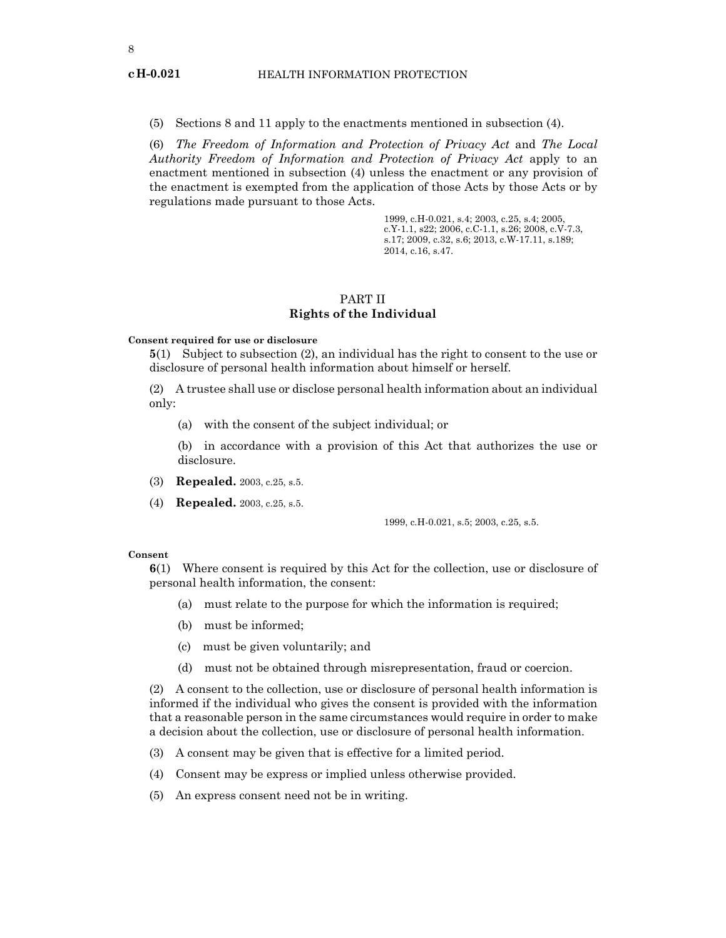(5) Sections 8 and 11 apply to the enactments mentioned in subsection (4).

(6) *The Freedom of Information and Protection of Privacy Act* and *The Local Authority Freedom of Information and Protection of Privacy Act* apply to an enactment mentioned in subsection (4) unless the enactment or any provision of the enactment is exempted from the application of those Acts by those Acts or by regulations made pursuant to those Acts.

> 1999, c.H-0.021, s.4; 2003, c.25, s.4; 2005, c.Y-1.1, s22; 2006, c.C-1.1, s.26; 2008, c.V-7.3, s.17; 2009, c.32, s.6; 2013, c.W-17.11, s.189; 2014, c.16, s.47.

## PART II **Rights of the Individual**

#### **Consent required for use or disclosure**

**5**(1) Subject to subsection (2), an individual has the right to consent to the use or disclosure of personal health information about himself or herself.

(2) A trustee shall use or disclose personal health information about an individual only:

(a) with the consent of the subject individual; or

(b) in accordance with a provision of this Act that authorizes the use or disclosure.

- (3) **Repealed.** 2003, c.25, s.5.
- (4) **Repealed.** 2003, c.25, s.5.

1999, c.H-0.021, s.5; 2003, c.25, s.5.

#### **Consent**

**6**(1) Where consent is required by this Act for the collection, use or disclosure of personal health information, the consent:

- (a) must relate to the purpose for which the information is required;
- (b) must be informed;
- (c) must be given voluntarily; and
- (d) must not be obtained through misrepresentation, fraud or coercion.

(2) A consent to the collection, use or disclosure of personal health information is informed if the individual who gives the consent is provided with the information that a reasonable person in the same circumstances would require in order to make a decision about the collection, use or disclosure of personal health information.

- (3) A consent may be given that is effective for a limited period.
- (4) Consent may be express or implied unless otherwise provided.
- (5) An express consent need not be in writing.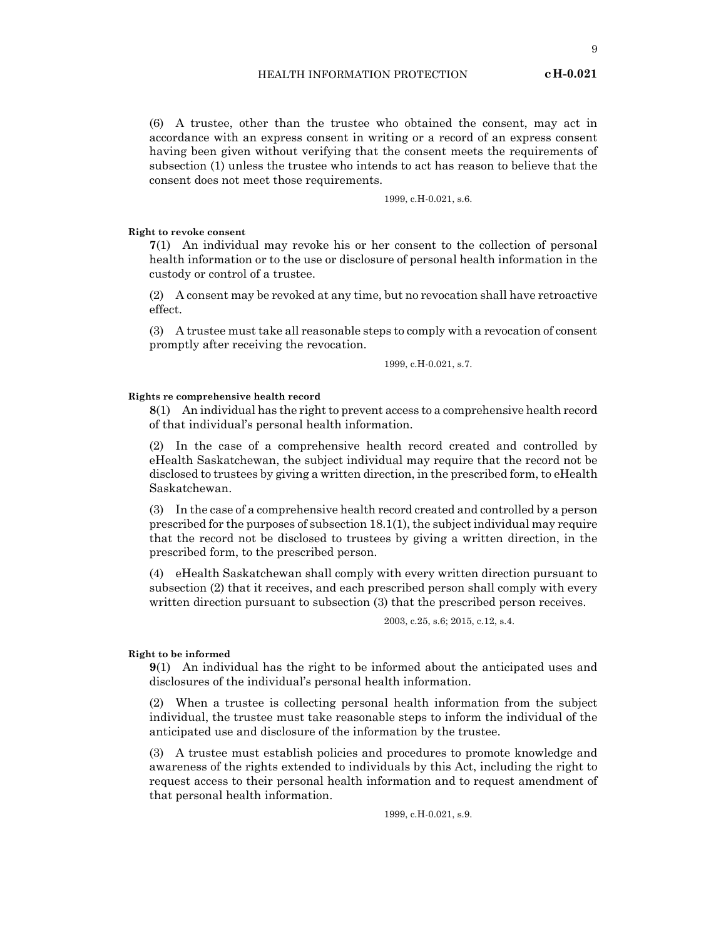(6) A trustee, other than the trustee who obtained the consent, may act in accordance with an express consent in writing or a record of an express consent having been given without verifying that the consent meets the requirements of subsection (1) unless the trustee who intends to act has reason to believe that the consent does not meet those requirements.

1999, c.H-0.021, s.6.

#### **Right to revoke consent**

**7**(1) An individual may revoke his or her consent to the collection of personal health information or to the use or disclosure of personal health information in the custody or control of a trustee.

(2) A consent may be revoked at any time, but no revocation shall have retroactive effect.

(3) A trustee must take all reasonable steps to comply with a revocation of consent promptly after receiving the revocation.

1999, c.H-0.021, s.7.

#### **Rights re comprehensive health record**

**8**(1) An individual has the right to prevent access to a comprehensive health record of that individual's personal health information.

(2) In the case of a comprehensive health record created and controlled by eHealth Saskatchewan, the subject individual may require that the record not be disclosed to trustees by giving a written direction, in the prescribed form, to eHealth Saskatchewan.

(3) In the case of a comprehensive health record created and controlled by a person prescribed for the purposes of subsection 18.1(1), the subject individual may require that the record not be disclosed to trustees by giving a written direction, in the prescribed form, to the prescribed person.

(4) eHealth Saskatchewan shall comply with every written direction pursuant to subsection (2) that it receives, and each prescribed person shall comply with every written direction pursuant to subsection (3) that the prescribed person receives.

2003, c.25, s.6; 2015, c.12, s.4.

#### **Right to be informed**

**9**(1) An individual has the right to be informed about the anticipated uses and disclosures of the individual's personal health information.

(2) When a trustee is collecting personal health information from the subject individual, the trustee must take reasonable steps to inform the individual of the anticipated use and disclosure of the information by the trustee.

(3) A trustee must establish policies and procedures to promote knowledge and awareness of the rights extended to individuals by this Act, including the right to request access to their personal health information and to request amendment of that personal health information.

1999, c.H-0.021, s.9.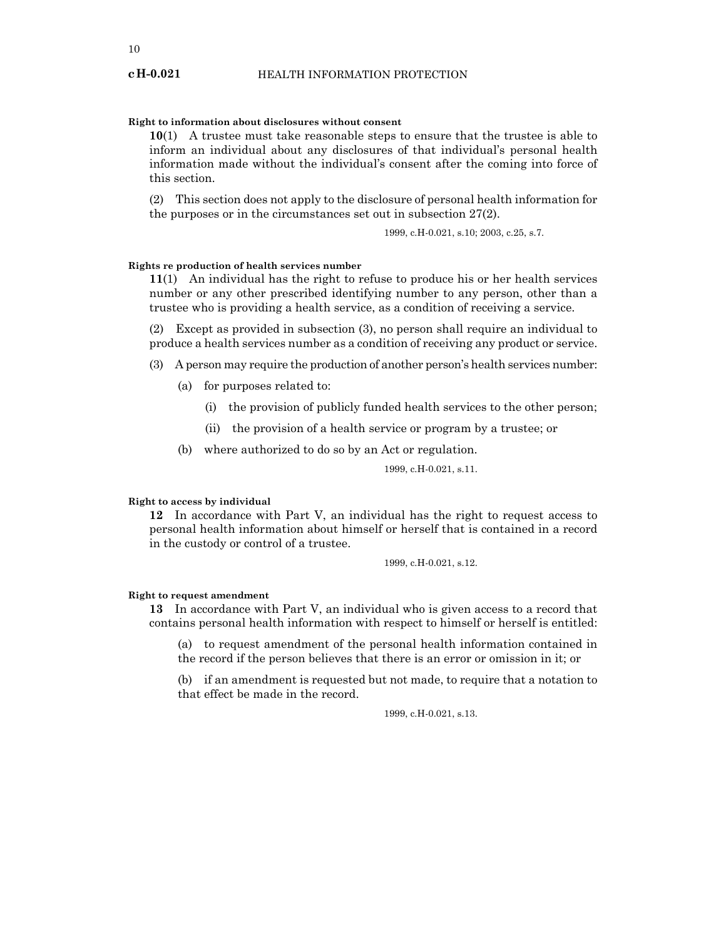## **Right to information about disclosures without consent**

**10**(1) A trustee must take reasonable steps to ensure that the trustee is able to inform an individual about any disclosures of that individual's personal health information made without the individual's consent after the coming into force of this section.

(2) This section does not apply to the disclosure of personal health information for the purposes or in the circumstances set out in subsection 27(2).

1999, c.H-0.021, s.10; 2003, c.25, s.7.

#### **Rights re production of health services number**

**11**(1) An individual has the right to refuse to produce his or her health services number or any other prescribed identifying number to any person, other than a trustee who is providing a health service, as a condition of receiving a service.

(2) Except as provided in subsection (3), no person shall require an individual to produce a health services number as a condition of receiving any product or service.

(3) A person may require the production of another person's health services number:

- (a) for purposes related to:
	- (i) the provision of publicly funded health services to the other person;
	- (ii) the provision of a health service or program by a trustee; or
- (b) where authorized to do so by an Act or regulation.

1999, c.H-0.021, s.11.

### **Right to access by individual**

**12** In accordance with Part V, an individual has the right to request access to personal health information about himself or herself that is contained in a record in the custody or control of a trustee.

1999, c.H-0.021, s.12.

#### **Right to request amendment**

**13** In accordance with Part V, an individual who is given access to a record that contains personal health information with respect to himself or herself is entitled:

(a) to request amendment of the personal health information contained in the record if the person believes that there is an error or omission in it; or

(b) if an amendment is requested but not made, to require that a notation to that effect be made in the record.

1999, c.H-0.021, s.13.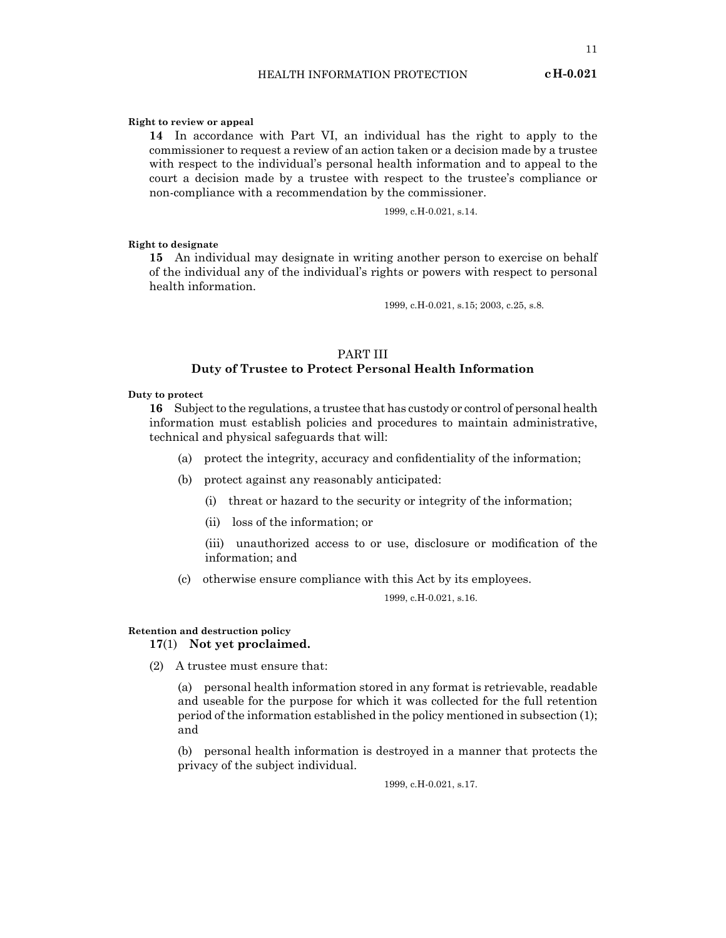#### **Right to review or appeal**

**14** In accordance with Part VI, an individual has the right to apply to the commissioner to request a review of an action taken or a decision made by a trustee with respect to the individual's personal health information and to appeal to the court a decision made by a trustee with respect to the trustee's compliance or non-compliance with a recommendation by the commissioner.

1999, c.H-0.021, s.14.

#### **Right to designate**

**15** An individual may designate in writing another person to exercise on behalf of the individual any of the individual's rights or powers with respect to personal health information.

1999, c.H-0.021, s.15; 2003, c.25, s.8.

## PART III **Duty of Trustee to Protect Personal Health Information**

#### **Duty to protect**

**16** Subject to the regulations, a trustee that has custody or control of personal health information must establish policies and procedures to maintain administrative, technical and physical safeguards that will:

- (a) protect the integrity, accuracy and confidentiality of the information;
- (b) protect against any reasonably anticipated:
	- (i) threat or hazard to the security or integrity of the information;
	- (ii) loss of the information; or

(iii) unauthorized access to or use, disclosure or modification of the information; and

(c) otherwise ensure compliance with this Act by its employees.

1999, c.H-0.021, s.16.

## **Retention and destruction policy 17**(1) **Not yet proclaimed.**

(2) A trustee must ensure that:

(a) personal health information stored in any format is retrievable, readable and useable for the purpose for which it was collected for the full retention period of the information established in the policy mentioned in subsection (1); and

(b) personal health information is destroyed in a manner that protects the privacy of the subject individual.

1999, c.H-0.021, s.17.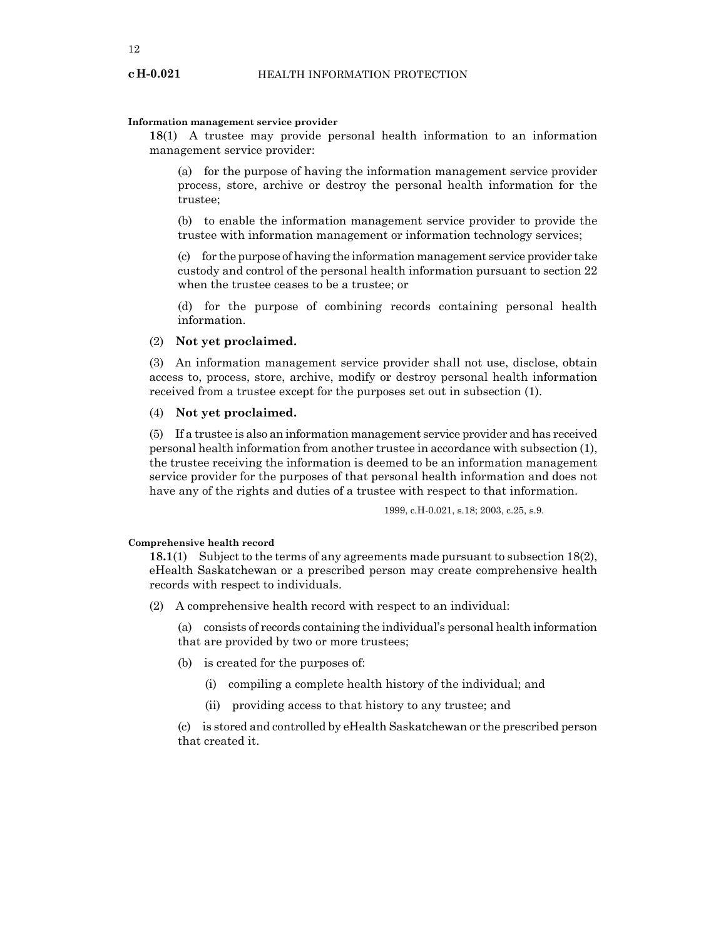#### **Information management service provider**

**18**(1) A trustee may provide personal health information to an information management service provider:

(a) for the purpose of having the information management service provider process, store, archive or destroy the personal health information for the trustee;

(b) to enable the information management service provider to provide the trustee with information management or information technology services;

(c) for the purpose of having the information management service provider take custody and control of the personal health information pursuant to section 22 when the trustee ceases to be a trustee; or

(d) for the purpose of combining records containing personal health information.

## (2) **Not yet proclaimed.**

(3) An information management service provider shall not use, disclose, obtain access to, process, store, archive, modify or destroy personal health information received from a trustee except for the purposes set out in subsection (1).

## (4) **Not yet proclaimed.**

(5) If a trustee is also an information management service provider and has received personal health information from another trustee in accordance with subsection (1), the trustee receiving the information is deemed to be an information management service provider for the purposes of that personal health information and does not have any of the rights and duties of a trustee with respect to that information.

1999, c.H-0.021, s.18; 2003, c.25, s.9.

#### **Comprehensive health record**

**18.1**(1) Subject to the terms of any agreements made pursuant to subsection 18(2), eHealth Saskatchewan or a prescribed person may create comprehensive health records with respect to individuals.

- (2) A comprehensive health record with respect to an individual:
	- (a) consists of records containing the individual's personal health information that are provided by two or more trustees;
	- (b) is created for the purposes of:
		- (i) compiling a complete health history of the individual; and
		- (ii) providing access to that history to any trustee; and

(c) is stored and controlled by eHealth Saskatchewan or the prescribed person that created it.

#### **cH-0.021**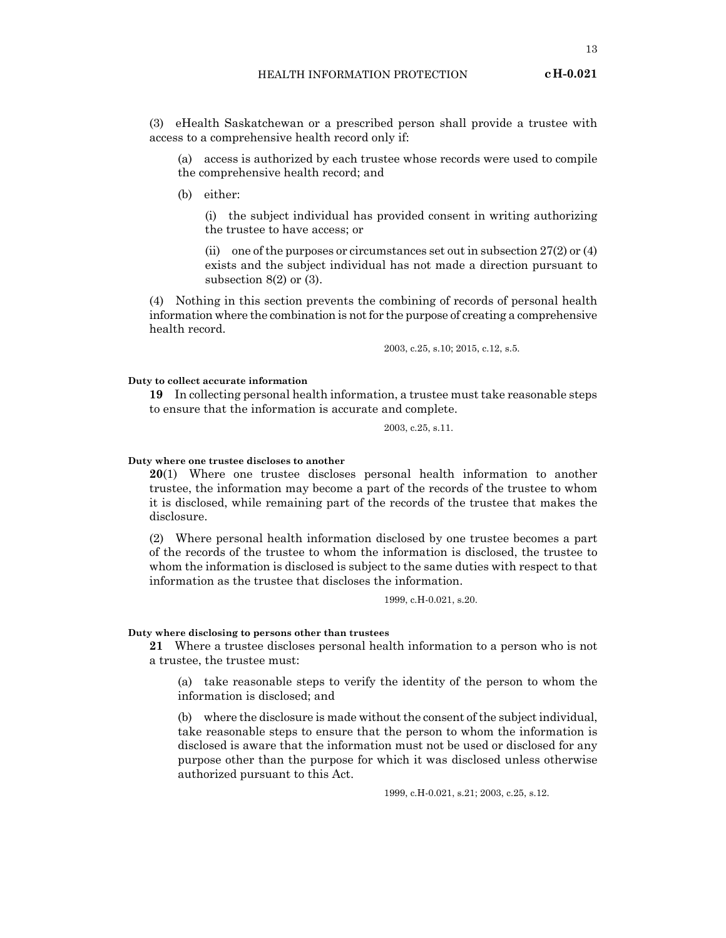13

(3) eHealth Saskatchewan or a prescribed person shall provide a trustee with access to a comprehensive health record only if:

(a) access is authorized by each trustee whose records were used to compile the comprehensive health record; and

(b) either:

(i) the subject individual has provided consent in writing authorizing the trustee to have access; or

(ii) one of the purposes or circumstances set out in subsection  $27(2)$  or  $(4)$ exists and the subject individual has not made a direction pursuant to subsection 8(2) or (3).

(4) Nothing in this section prevents the combining of records of personal health information where the combination is not for the purpose of creating a comprehensive health record.

2003, c.25, s.10; 2015, c.12, s.5.

#### **Duty to collect accurate information**

**19** In collecting personal health information, a trustee must take reasonable steps to ensure that the information is accurate and complete.

2003, c.25, s.11.

#### **Duty where one trustee discloses to another**

**20**(1) Where one trustee discloses personal health information to another trustee, the information may become a part of the records of the trustee to whom it is disclosed, while remaining part of the records of the trustee that makes the disclosure.

(2) Where personal health information disclosed by one trustee becomes a part of the records of the trustee to whom the information is disclosed, the trustee to whom the information is disclosed is subject to the same duties with respect to that information as the trustee that discloses the information.

1999, c.H-0.021, s.20.

#### **Duty where disclosing to persons other than trustees**

**21** Where a trustee discloses personal health information to a person who is not a trustee, the trustee must:

(a) take reasonable steps to verify the identity of the person to whom the information is disclosed; and

(b) where the disclosure is made without the consent of the subject individual, take reasonable steps to ensure that the person to whom the information is disclosed is aware that the information must not be used or disclosed for any purpose other than the purpose for which it was disclosed unless otherwise authorized pursuant to this Act.

1999, c.H-0.021, s.21; 2003, c.25, s.12.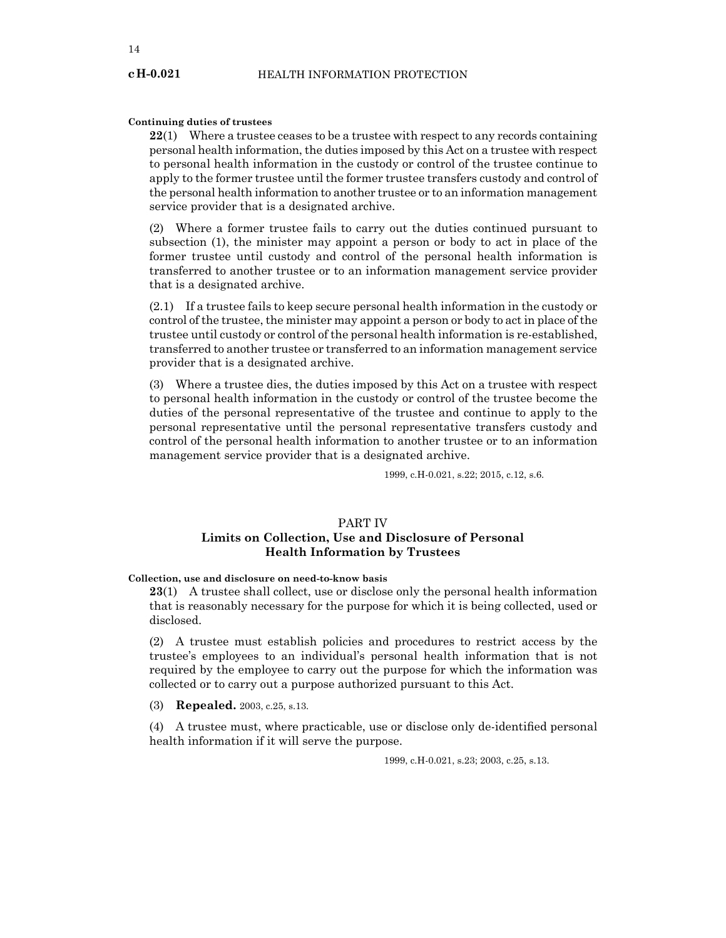#### **Continuing duties of trustees**

**22**(1) Where a trustee ceases to be a trustee with respect to any records containing personal health information, the duties imposed by this Act on a trustee with respect to personal health information in the custody or control of the trustee continue to apply to the former trustee until the former trustee transfers custody and control of the personal health information to another trustee or to an information management service provider that is a designated archive.

(2) Where a former trustee fails to carry out the duties continued pursuant to subsection (1), the minister may appoint a person or body to act in place of the former trustee until custody and control of the personal health information is transferred to another trustee or to an information management service provider that is a designated archive.

(2.1) If a trustee fails to keep secure personal health information in the custody or control of the trustee, the minister may appoint a person or body to act in place of the trustee until custody or control of the personal health information is re-established, transferred to another trustee or transferred to an information management service provider that is a designated archive.

(3) Where a trustee dies, the duties imposed by this Act on a trustee with respect to personal health information in the custody or control of the trustee become the duties of the personal representative of the trustee and continue to apply to the personal representative until the personal representative transfers custody and control of the personal health information to another trustee or to an information management service provider that is a designated archive.

1999, c.H-0.021, s.22; 2015, c.12, s.6.

## PART IV **Limits on Collection, Use and Disclosure of Personal Health Information by Trustees**

## **Collection, use and disclosure on need-to-know basis**

**23**(1) A trustee shall collect, use or disclose only the personal health information that is reasonably necessary for the purpose for which it is being collected, used or disclosed.

(2) A trustee must establish policies and procedures to restrict access by the trustee's employees to an individual's personal health information that is not required by the employee to carry out the purpose for which the information was collected or to carry out a purpose authorized pursuant to this Act.

(3) **Repealed.** 2003, c.25, s.13.

(4) A trustee must, where practicable, use or disclose only de-identified personal health information if it will serve the purpose.

1999, c.H-0.021, s.23; 2003, c.25, s.13.

**cH-0.021**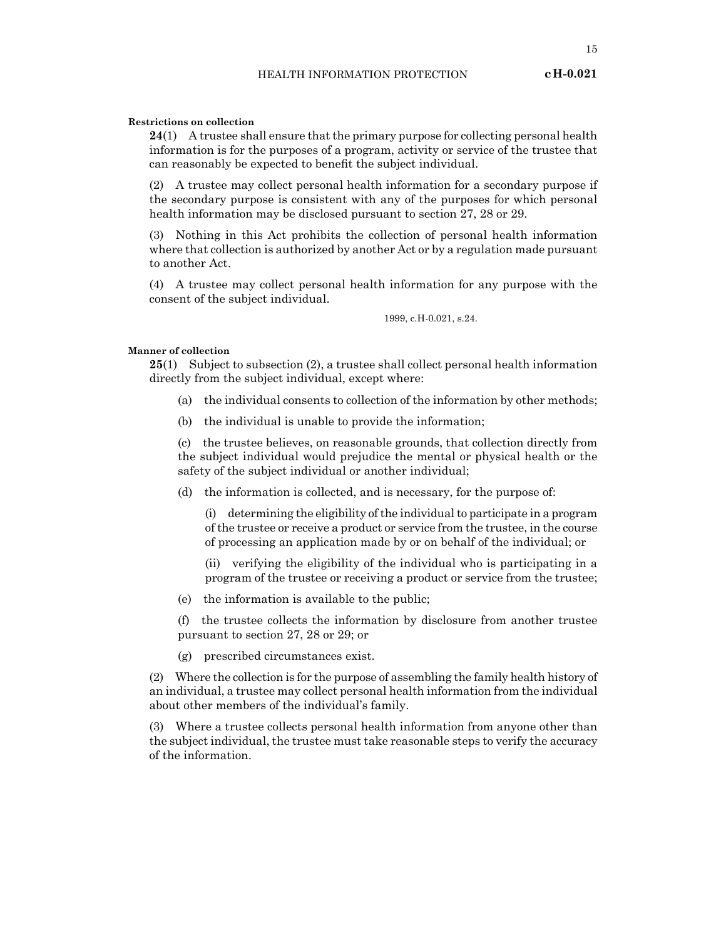15

#### **Restrictions on collection**

**24**(1) A trustee shall ensure that the primary purpose for collecting personal health information is for the purposes of a program, activity or service of the trustee that can reasonably be expected to benefit the subject individual.

(2) A trustee may collect personal health information for a secondary purpose if the secondary purpose is consistent with any of the purposes for which personal health information may be disclosed pursuant to section 27, 28 or 29.

(3) Nothing in this Act prohibits the collection of personal health information where that collection is authorized by another Act or by a regulation made pursuant to another Act.

(4) A trustee may collect personal health information for any purpose with the consent of the subject individual.

1999, c.H-0.021, s.24.

#### **Manner of collection**

**25**(1) Subject to subsection (2), a trustee shall collect personal health information directly from the subject individual, except where:

- (a) the individual consents to collection of the information by other methods;
- (b) the individual is unable to provide the information;

(c) the trustee believes, on reasonable grounds, that collection directly from the subject individual would prejudice the mental or physical health or the safety of the subject individual or another individual;

(d) the information is collected, and is necessary, for the purpose of:

(i) determining the eligibility of the individual to participate in a program of the trustee or receive a product or service from the trustee, in the course of processing an application made by or on behalf of the individual; or

(ii) verifying the eligibility of the individual who is participating in a program of the trustee or receiving a product or service from the trustee;

(e) the information is available to the public;

(f) the trustee collects the information by disclosure from another trustee pursuant to section 27, 28 or 29; or

(g) prescribed circumstances exist.

(2) Where the collection is for the purpose of assembling the family health history of an individual, a trustee may collect personal health information from the individual about other members of the individual's family.

(3) Where a trustee collects personal health information from anyone other than the subject individual, the trustee must take reasonable steps to verify the accuracy of the information.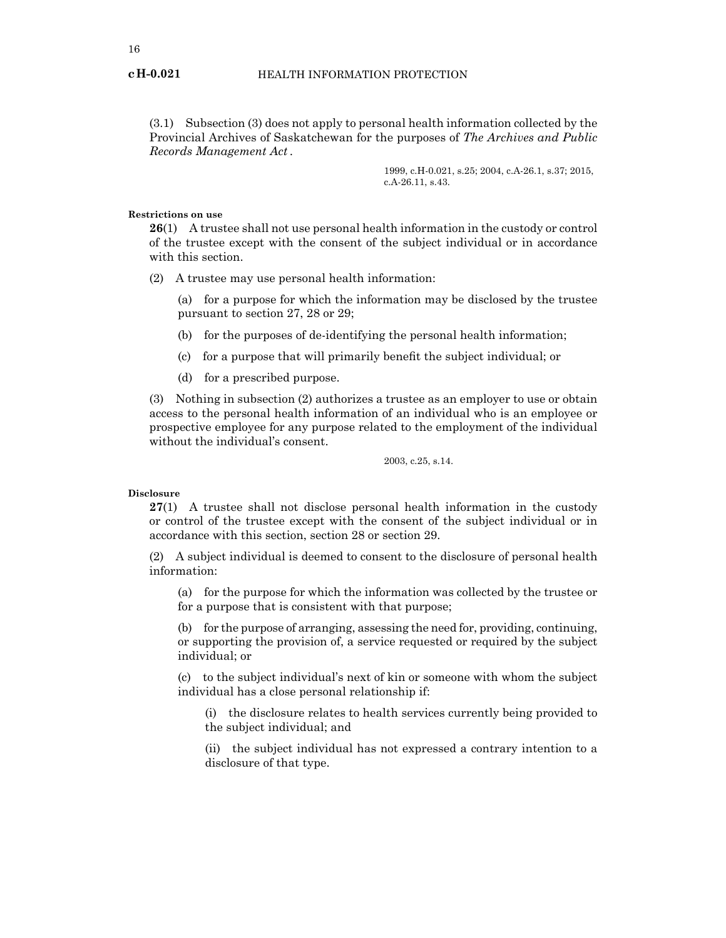(3.1) Subsection (3) does not apply to personal health information collected by the Provincial Archives of Saskatchewan for the purposes of *The Archives and Public Records Management Act .*

> 1999, c.H-0.021, s.25; 2004, c.A-26.1, s.37; 2015, c.A-26.11, s.43.

#### **Restrictions on use**

**26**(1) A trustee shall not use personal health information in the custody or control of the trustee except with the consent of the subject individual or in accordance with this section.

(2) A trustee may use personal health information:

(a) for a purpose for which the information may be disclosed by the trustee pursuant to section 27, 28 or 29;

- (b) for the purposes of de-identifying the personal health information;
- (c) for a purpose that will primarily benefit the subject individual; or
- (d) for a prescribed purpose.

(3) Nothing in subsection (2) authorizes a trustee as an employer to use or obtain access to the personal health information of an individual who is an employee or prospective employee for any purpose related to the employment of the individual without the individual's consent.

2003, c.25, s.14.

#### **Disclosure**

**27**(1) A trustee shall not disclose personal health information in the custody or control of the trustee except with the consent of the subject individual or in accordance with this section, section 28 or section 29.

(2) A subject individual is deemed to consent to the disclosure of personal health information:

(a) for the purpose for which the information was collected by the trustee or for a purpose that is consistent with that purpose;

(b) for the purpose of arranging, assessing the need for, providing, continuing, or supporting the provision of, a service requested or required by the subject individual; or

(c) to the subject individual's next of kin or someone with whom the subject individual has a close personal relationship if:

(i) the disclosure relates to health services currently being provided to the subject individual; and

(ii) the subject individual has not expressed a contrary intention to a disclosure of that type.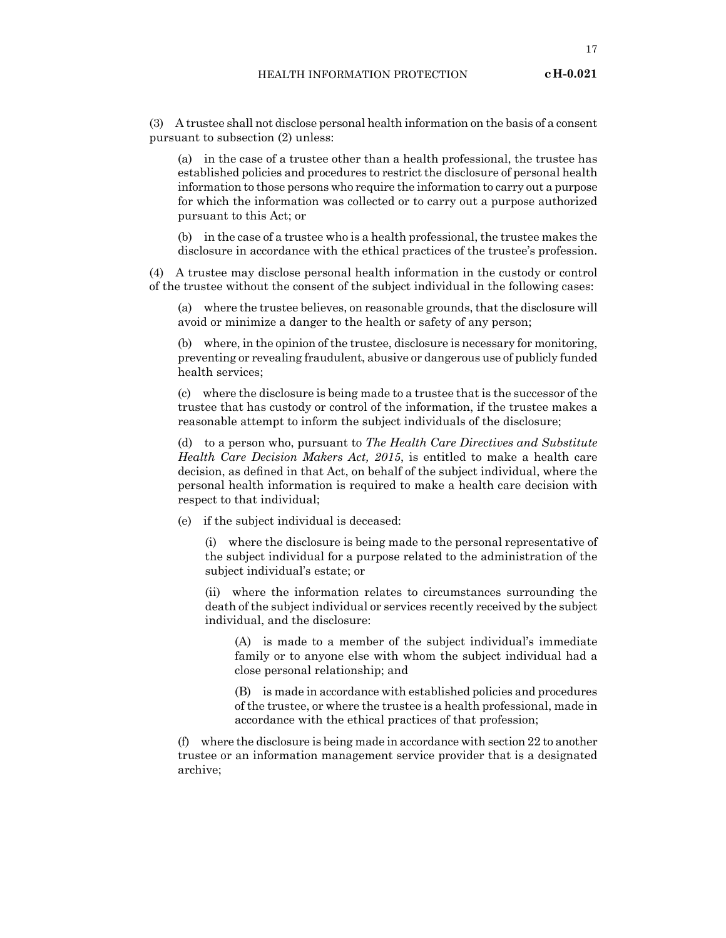(3) A trustee shall not disclose personal health information on the basis of a consent pursuant to subsection (2) unless:

(a) in the case of a trustee other than a health professional, the trustee has established policies and procedures to restrict the disclosure of personal health information to those persons who require the information to carry out a purpose for which the information was collected or to carry out a purpose authorized pursuant to this Act; or

(b) in the case of a trustee who is a health professional, the trustee makes the disclosure in accordance with the ethical practices of the trustee's profession.

(4) A trustee may disclose personal health information in the custody or control of the trustee without the consent of the subject individual in the following cases:

(a) where the trustee believes, on reasonable grounds, that the disclosure will avoid or minimize a danger to the health or safety of any person;

(b) where, in the opinion of the trustee, disclosure is necessary for monitoring, preventing or revealing fraudulent, abusive or dangerous use of publicly funded health services;

(c) where the disclosure is being made to a trustee that is the successor of the trustee that has custody or control of the information, if the trustee makes a reasonable attempt to inform the subject individuals of the disclosure;

(d) to a person who, pursuant to *The Health Care Directives and Substitute Health Care Decision Makers Act, 2015*, is entitled to make a health care decision, as defined in that Act, on behalf of the subject individual, where the personal health information is required to make a health care decision with respect to that individual;

(e) if the subject individual is deceased:

(i) where the disclosure is being made to the personal representative of the subject individual for a purpose related to the administration of the subject individual's estate; or

(ii) where the information relates to circumstances surrounding the death of the subject individual or services recently received by the subject individual, and the disclosure:

(A) is made to a member of the subject individual's immediate family or to anyone else with whom the subject individual had a close personal relationship; and

(B) is made in accordance with established policies and procedures of the trustee, or where the trustee is a health professional, made in accordance with the ethical practices of that profession;

(f) where the disclosure is being made in accordance with section 22 to another trustee or an information management service provider that is a designated archive;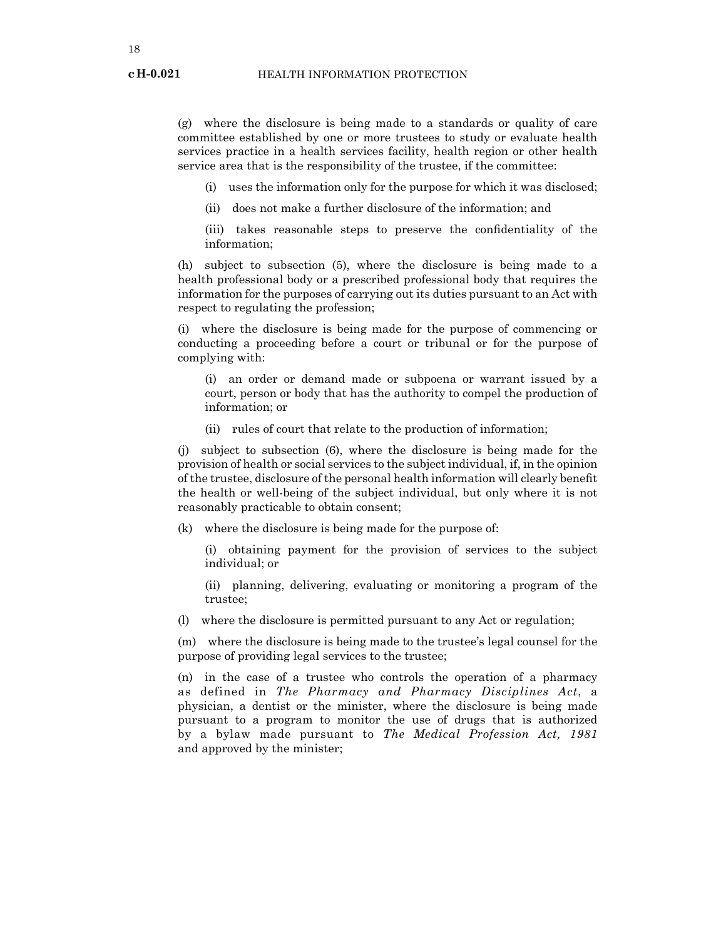(g) where the disclosure is being made to a standards or quality of care committee established by one or more trustees to study or evaluate health services practice in a health services facility, health region or other health service area that is the responsibility of the trustee, if the committee:

- (i) uses the information only for the purpose for which it was disclosed;
- (ii) does not make a further disclosure of the information; and
- (iii) takes reasonable steps to preserve the confidentiality of the information;

(h) subject to subsection (5), where the disclosure is being made to a health professional body or a prescribed professional body that requires the information for the purposes of carrying out its duties pursuant to an Act with respect to regulating the profession;

(i) where the disclosure is being made for the purpose of commencing or conducting a proceeding before a court or tribunal or for the purpose of complying with:

(i) an order or demand made or subpoena or warrant issued by a court, person or body that has the authority to compel the production of information; or

(ii) rules of court that relate to the production of information;

(j) subject to subsection (6), where the disclosure is being made for the provision of health or social services to the subject individual, if, in the opinion of the trustee, disclosure of the personal health information will clearly benefit the health or well-being of the subject individual, but only where it is not reasonably practicable to obtain consent;

(k) where the disclosure is being made for the purpose of:

(i) obtaining payment for the provision of services to the subject individual; or

(ii) planning, delivering, evaluating or monitoring a program of the trustee;

(l) where the disclosure is permitted pursuant to any Act or regulation;

(m) where the disclosure is being made to the trustee's legal counsel for the purpose of providing legal services to the trustee;

(n) in the case of a trustee who controls the operation of a pharmacy as defined in *The Pharmacy and Pharmacy Disciplines Act*, a physician, a dentist or the minister, where the disclosure is being made pursuant to a program to monitor the use of drugs that is authorized by a bylaw made pursuant to *The Medical Profession Act, 1981* and approved by the minister;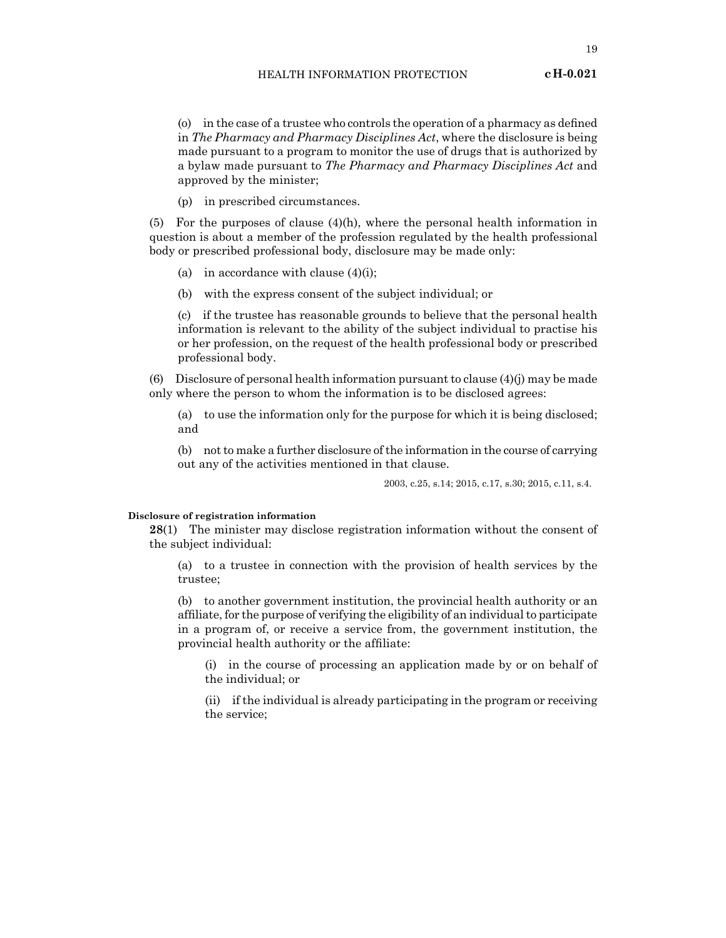#### HEALTH INFORMATION PROTECTION

(o) in the case of a trustee who controls the operation of a pharmacy as defined in *The Pharmacy and Pharmacy Disciplines Act*, where the disclosure is being made pursuant to a program to monitor the use of drugs that is authorized by a bylaw made pursuant to *The Pharmacy and Pharmacy Disciplines Act* and approved by the minister;

(p) in prescribed circumstances.

(5) For the purposes of clause  $(4)(h)$ , where the personal health information in question is about a member of the profession regulated by the health professional body or prescribed professional body, disclosure may be made only:

- (a) in accordance with clause  $(4)(i)$ ;
- (b) with the express consent of the subject individual; or

(c) if the trustee has reasonable grounds to believe that the personal health information is relevant to the ability of the subject individual to practise his or her profession, on the request of the health professional body or prescribed professional body.

(6) Disclosure of personal health information pursuant to clause  $(4)(j)$  may be made only where the person to whom the information is to be disclosed agrees:

(a) to use the information only for the purpose for which it is being disclosed; and

(b) not to make a further disclosure of the information in the course of carrying out any of the activities mentioned in that clause.

2003, c.25, s.14; 2015, c.17, s.30; 2015, c.11, s.4.

#### **Disclosure of registration information**

**28**(1) The minister may disclose registration information without the consent of the subject individual:

(a) to a trustee in connection with the provision of health services by the trustee;

(b) to another government institution, the provincial health authority or an affiliate, for the purpose of verifying the eligibility of an individual to participate in a program of, or receive a service from, the government institution, the provincial health authority or the affiliate:

(i) in the course of processing an application made by or on behalf of the individual; or

(ii) if the individual is already participating in the program or receiving the service;

**cH-0.021**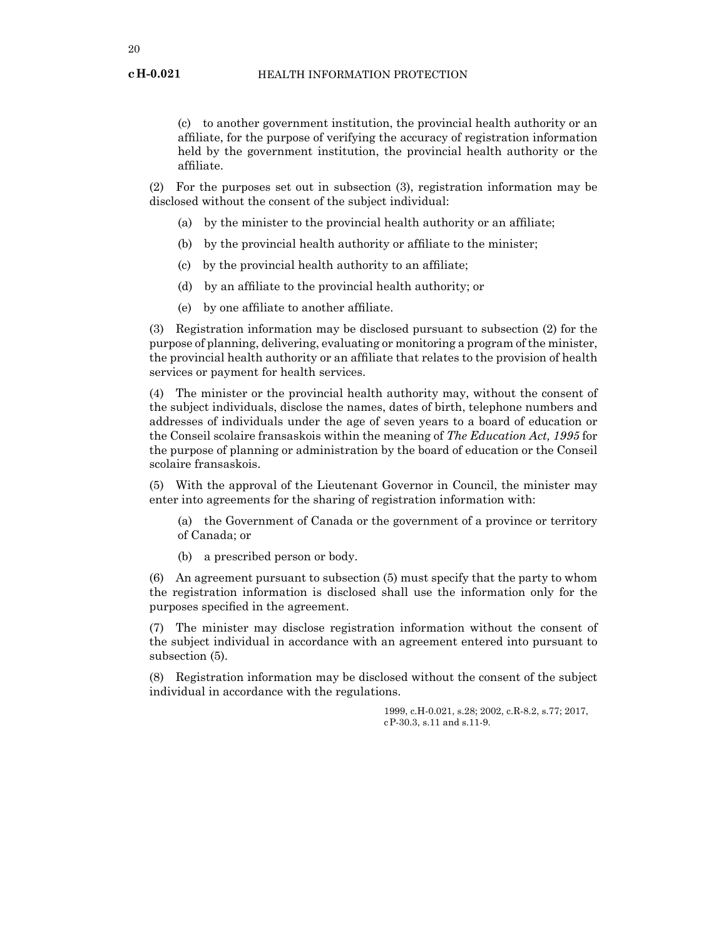(c) to another government institution, the provincial health authority or an affiliate, for the purpose of verifying the accuracy of registration information held by the government institution, the provincial health authority or the affiliate.

(2) For the purposes set out in subsection (3), registration information may be disclosed without the consent of the subject individual:

- (a) by the minister to the provincial health authority or an affiliate;
- (b) by the provincial health authority or affiliate to the minister;
- (c) by the provincial health authority to an affiliate;
- (d) by an affiliate to the provincial health authority; or
- (e) by one affiliate to another affiliate.

(3) Registration information may be disclosed pursuant to subsection (2) for the purpose of planning, delivering, evaluating or monitoring a program of the minister, the provincial health authority or an affiliate that relates to the provision of health services or payment for health services.

(4) The minister or the provincial health authority may, without the consent of the subject individuals, disclose the names, dates of birth, telephone numbers and addresses of individuals under the age of seven years to a board of education or the Conseil scolaire fransaskois within the meaning of *The Education Act, 1995* for the purpose of planning or administration by the board of education or the Conseil scolaire fransaskois.

(5) With the approval of the Lieutenant Governor in Council, the minister may enter into agreements for the sharing of registration information with:

(a) the Government of Canada or the government of a province or territory of Canada; or

(b) a prescribed person or body.

(6) An agreement pursuant to subsection (5) must specify that the party to whom the registration information is disclosed shall use the information only for the purposes specified in the agreement.

(7) The minister may disclose registration information without the consent of the subject individual in accordance with an agreement entered into pursuant to subsection (5).

(8) Registration information may be disclosed without the consent of the subject individual in accordance with the regulations.

> 1999, c.H-0.021, s.28; 2002, c.R-8.2, s.77; 2017, cP-30.3, s.11 and s.11-9.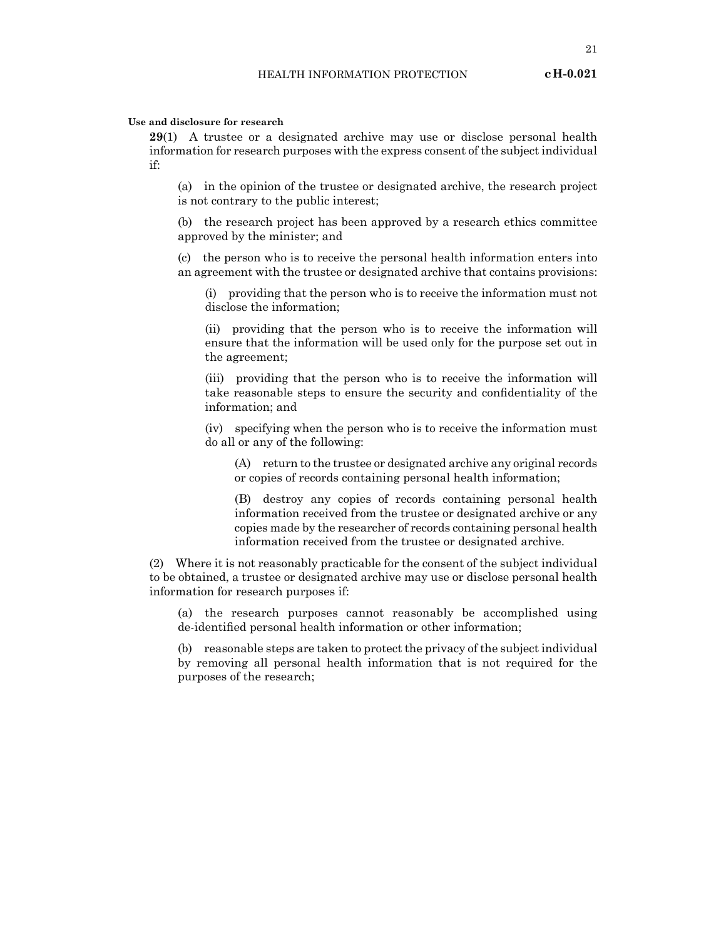#### **Use and disclosure for research**

**29**(1) A trustee or a designated archive may use or disclose personal health information for research purposes with the express consent of the subject individual if:

(a) in the opinion of the trustee or designated archive, the research project is not contrary to the public interest;

(b) the research project has been approved by a research ethics committee approved by the minister; and

(c) the person who is to receive the personal health information enters into an agreement with the trustee or designated archive that contains provisions:

(i) providing that the person who is to receive the information must not disclose the information;

(ii) providing that the person who is to receive the information will ensure that the information will be used only for the purpose set out in the agreement;

(iii) providing that the person who is to receive the information will take reasonable steps to ensure the security and confidentiality of the information; and

(iv) specifying when the person who is to receive the information must do all or any of the following:

(A) return to the trustee or designated archive any original records or copies of records containing personal health information;

(B) destroy any copies of records containing personal health information received from the trustee or designated archive or any copies made by the researcher of records containing personal health information received from the trustee or designated archive.

(2) Where it is not reasonably practicable for the consent of the subject individual to be obtained, a trustee or designated archive may use or disclose personal health information for research purposes if:

(a) the research purposes cannot reasonably be accomplished using de-identified personal health information or other information;

(b) reasonable steps are taken to protect the privacy of the subject individual by removing all personal health information that is not required for the purposes of the research;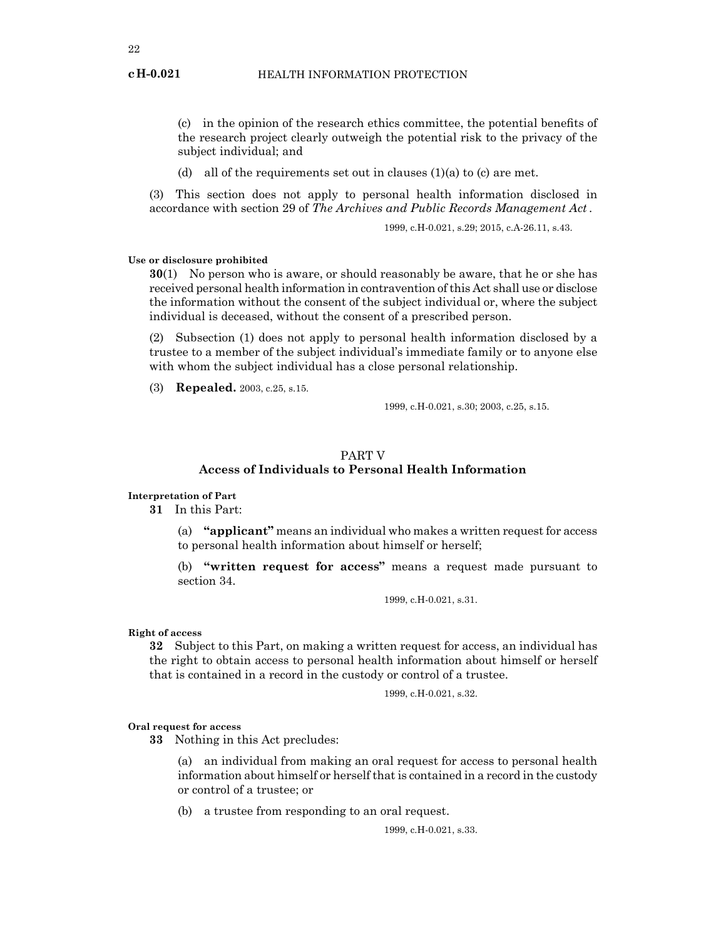(c) in the opinion of the research ethics committee, the potential benefits of the research project clearly outweigh the potential risk to the privacy of the subject individual; and

(d) all of the requirements set out in clauses  $(1)(a)$  to  $(c)$  are met.

(3) This section does not apply to personal health information disclosed in accordance with section 29 of *The Archives and Public Records Management Act .*

1999, c.H-0.021, s.29; 2015, c.A-26.11, s.43.

## **Use or disclosure prohibited**

**30**(1) No person who is aware, or should reasonably be aware, that he or she has received personal health information in contravention of this Act shall use or disclose the information without the consent of the subject individual or, where the subject individual is deceased, without the consent of a prescribed person.

(2) Subsection (1) does not apply to personal health information disclosed by a trustee to a member of the subject individual's immediate family or to anyone else with whom the subject individual has a close personal relationship.

(3) **Repealed.** 2003, c.25, s.15.

1999, c.H-0.021, s.30; 2003, c.25, s.15.

## PART V

## **Access of Individuals to Personal Health Information**

## **Interpretation of Part**

**31** In this Part:

(a) **"applicant"** means an individual who makes a written request for access to personal health information about himself or herself;

(b) **"written request for access"** means a request made pursuant to section 34.

1999, c.H-0.021, s.31.

### **Right of access**

**32** Subject to this Part, on making a written request for access, an individual has the right to obtain access to personal health information about himself or herself that is contained in a record in the custody or control of a trustee.

1999, c.H-0.021, s.32.

#### **Oral request for access**

**33** Nothing in this Act precludes:

(a) an individual from making an oral request for access to personal health information about himself or herself that is contained in a record in the custody or control of a trustee; or

(b) a trustee from responding to an oral request.

1999, c.H-0.021, s.33.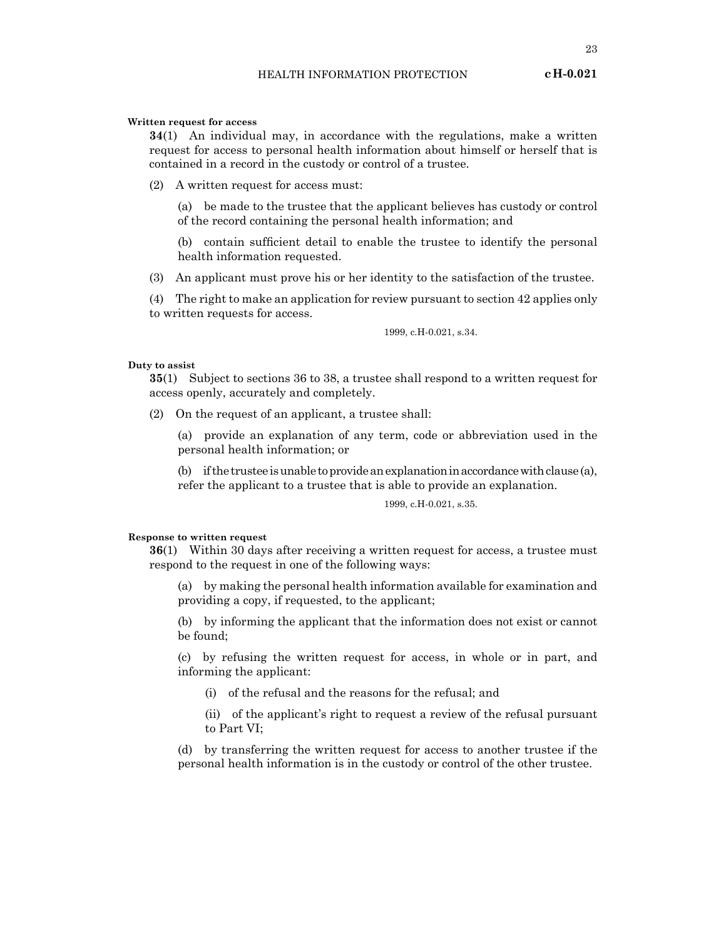23

#### **Written request for access**

**34**(1) An individual may, in accordance with the regulations, make a written request for access to personal health information about himself or herself that is contained in a record in the custody or control of a trustee.

(2) A written request for access must:

(a) be made to the trustee that the applicant believes has custody or control of the record containing the personal health information; and

(b) contain sufficient detail to enable the trustee to identify the personal health information requested.

(3) An applicant must prove his or her identity to the satisfaction of the trustee.

(4) The right to make an application for review pursuant to section 42 applies only to written requests for access.

1999, c.H-0.021, s.34.

#### **Duty to assist**

**35**(1) Subject to sections 36 to 38, a trustee shall respond to a written request for access openly, accurately and completely.

(2) On the request of an applicant, a trustee shall:

(a) provide an explanation of any term, code or abbreviation used in the personal health information; or

(b) if the trustee is unable to provide an explanation in accordance with clause (a), refer the applicant to a trustee that is able to provide an explanation.

1999, c.H-0.021, s.35.

#### **Response to written request**

**36**(1) Within 30 days after receiving a written request for access, a trustee must respond to the request in one of the following ways:

(a) by making the personal health information available for examination and providing a copy, if requested, to the applicant;

(b) by informing the applicant that the information does not exist or cannot be found;

(c) by refusing the written request for access, in whole or in part, and informing the applicant:

(i) of the refusal and the reasons for the refusal; and

(ii) of the applicant's right to request a review of the refusal pursuant to Part VI;

(d) by transferring the written request for access to another trustee if the personal health information is in the custody or control of the other trustee.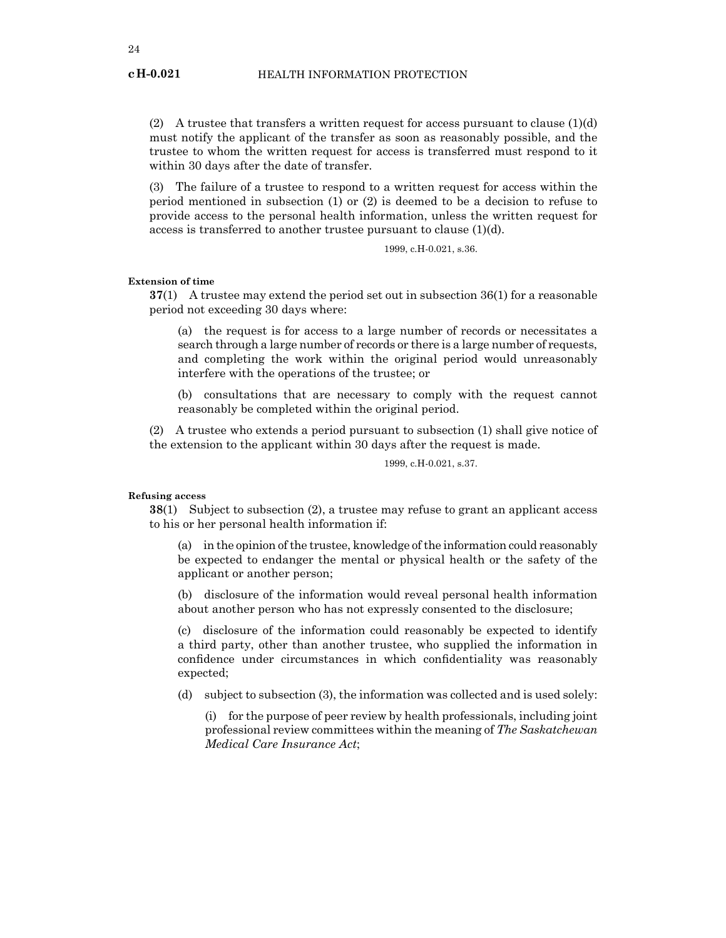(2) A trustee that transfers a written request for access pursuant to clause  $(1)(d)$ must notify the applicant of the transfer as soon as reasonably possible, and the trustee to whom the written request for access is transferred must respond to it within 30 days after the date of transfer.

(3) The failure of a trustee to respond to a written request for access within the period mentioned in subsection (1) or (2) is deemed to be a decision to refuse to provide access to the personal health information, unless the written request for access is transferred to another trustee pursuant to clause (1)(d).

1999, c.H-0.021, s.36.

#### **Extension of time**

**37**(1) A trustee may extend the period set out in subsection 36(1) for a reasonable period not exceeding 30 days where:

(a) the request is for access to a large number of records or necessitates a search through a large number of records or there is a large number of requests, and completing the work within the original period would unreasonably interfere with the operations of the trustee; or

(b) consultations that are necessary to comply with the request cannot reasonably be completed within the original period.

(2) A trustee who extends a period pursuant to subsection (1) shall give notice of the extension to the applicant within 30 days after the request is made.

1999, c.H-0.021, s.37.

#### **Refusing access**

**38**(1) Subject to subsection (2), a trustee may refuse to grant an applicant access to his or her personal health information if:

(a) in the opinion of the trustee, knowledge of the information could reasonably be expected to endanger the mental or physical health or the safety of the applicant or another person;

(b) disclosure of the information would reveal personal health information about another person who has not expressly consented to the disclosure;

(c) disclosure of the information could reasonably be expected to identify a third party, other than another trustee, who supplied the information in confidence under circumstances in which confidentiality was reasonably expected;

(d) subject to subsection (3), the information was collected and is used solely:

(i) for the purpose of peer review by health professionals, including joint professional review committees within the meaning of *The Saskatchewan Medical Care Insurance Act*;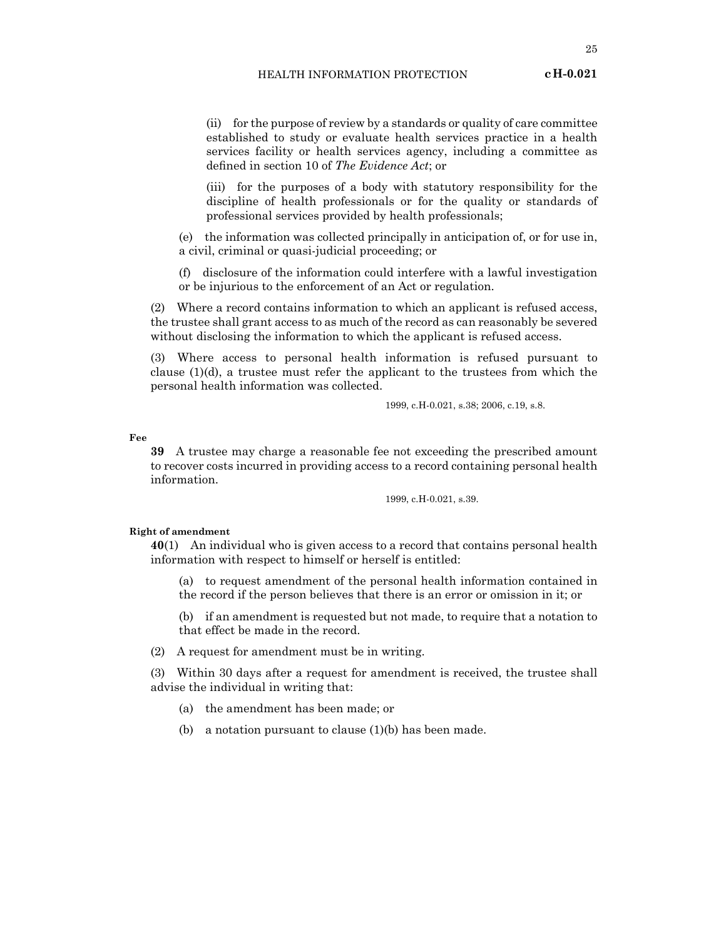(ii) for the purpose of review by a standards or quality of care committee established to study or evaluate health services practice in a health services facility or health services agency, including a committee as defined in section 10 of *The Evidence Act*; or

(iii) for the purposes of a body with statutory responsibility for the discipline of health professionals or for the quality or standards of professional services provided by health professionals;

(e) the information was collected principally in anticipation of, or for use in, a civil, criminal or quasi-judicial proceeding; or

(f) disclosure of the information could interfere with a lawful investigation or be injurious to the enforcement of an Act or regulation.

(2) Where a record contains information to which an applicant is refused access, the trustee shall grant access to as much of the record as can reasonably be severed without disclosing the information to which the applicant is refused access.

(3) Where access to personal health information is refused pursuant to clause  $(1)(d)$ , a trustee must refer the applicant to the trustees from which the personal health information was collected.

1999, c.H-0.021, s.38; 2006, c.19, s.8.

**Fee**

**39** A trustee may charge a reasonable fee not exceeding the prescribed amount to recover costs incurred in providing access to a record containing personal health information.

1999, c.H-0.021, s.39.

#### **Right of amendment**

**40**(1) An individual who is given access to a record that contains personal health information with respect to himself or herself is entitled:

(a) to request amendment of the personal health information contained in the record if the person believes that there is an error or omission in it; or

(b) if an amendment is requested but not made, to require that a notation to that effect be made in the record.

(2) A request for amendment must be in writing.

(3) Within 30 days after a request for amendment is received, the trustee shall advise the individual in writing that:

(a) the amendment has been made; or

(b) a notation pursuant to clause (1)(b) has been made.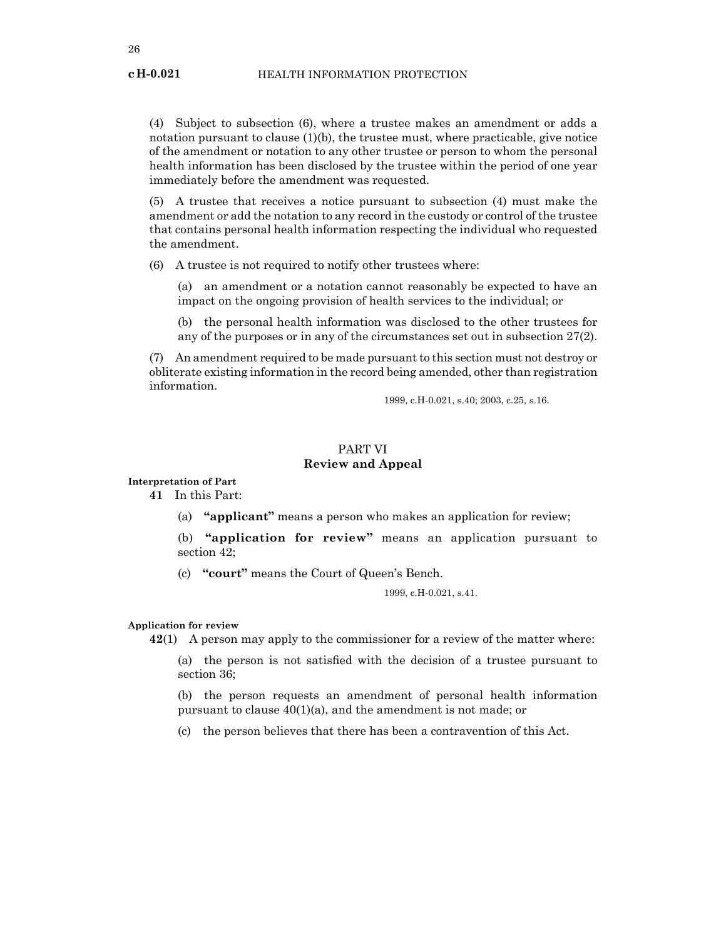#### HEALTH INFORMATION PROTECTION

(4) Subject to subsection (6), where a trustee makes an amendment or adds a notation pursuant to clause  $(1)(b)$ , the trustee must, where practicable, give notice of the amendment or notation to any other trustee or person to whom the personal health information has been disclosed by the trustee within the period of one year immediately before the amendment was requested.

(5) A trustee that receives a notice pursuant to subsection (4) must make the amendment or add the notation to any record in the custody or control of the trustee that contains personal health information respecting the individual who requested the amendment.

(6) A trustee is not required to notify other trustees where:

(a) an amendment or a notation cannot reasonably be expected to have an impact on the ongoing provision of health services to the individual; or

(b) the personal health information was disclosed to the other trustees for any of the purposes or in any of the circumstances set out in subsection 27(2).

(7) An amendment required to be made pursuant to this section must not destroy or obliterate existing information in the record being amended, other than registration information.

1999, c.H-0.021, s.40; 2003, c.25, s.16.

## PART VI **Review and Appeal**

**Interpretation of Part**

**41** In this Part:

(a) **"applicant"** means a person who makes an application for review;

(b) **"application for review"** means an application pursuant to section 42;

(c) **"court"** means the Court of Queen's Bench.

1999, c.H-0.021, s.41.

#### **Application for review**

**42**(1) A person may apply to the commissioner for a review of the matter where:

(a) the person is not satisfied with the decision of a trustee pursuant to section 36;

(b) the person requests an amendment of personal health information pursuant to clause 40(1)(a), and the amendment is not made; or

(c) the person believes that there has been a contravention of this Act.

**cH-0.021**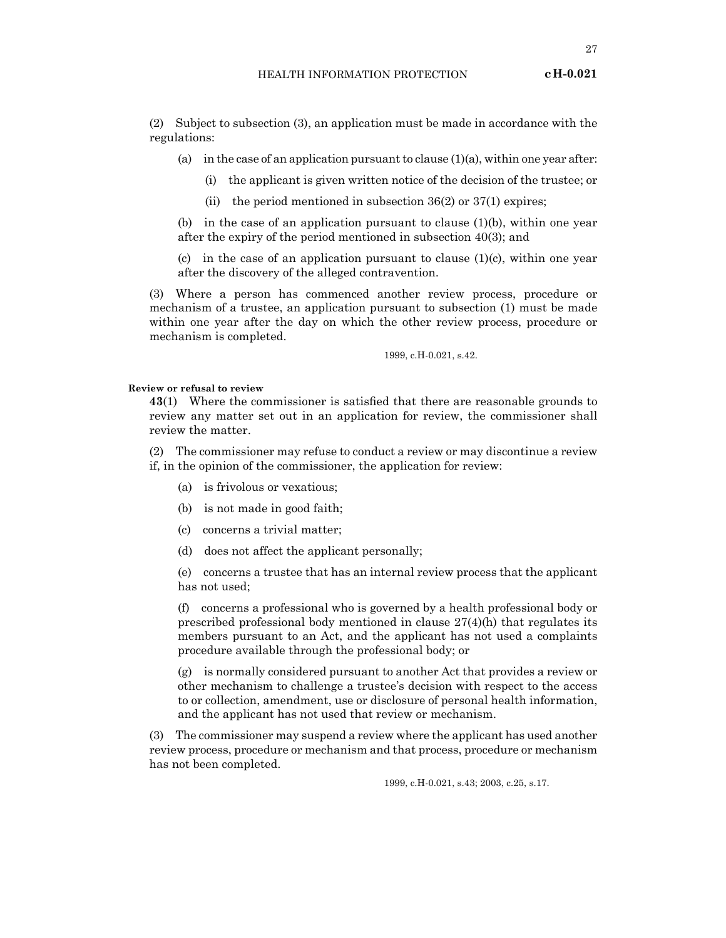(2) Subject to subsection (3), an application must be made in accordance with the regulations:

- (a) in the case of an application pursuant to clause  $(1)(a)$ , within one year after:
	- (i) the applicant is given written notice of the decision of the trustee; or
	- (ii) the period mentioned in subsection  $36(2)$  or  $37(1)$  expires;

(b) in the case of an application pursuant to clause  $(1)(b)$ , within one year after the expiry of the period mentioned in subsection 40(3); and

(c) in the case of an application pursuant to clause  $(1)(c)$ , within one year after the discovery of the alleged contravention.

(3) Where a person has commenced another review process, procedure or mechanism of a trustee, an application pursuant to subsection (1) must be made within one year after the day on which the other review process, procedure or mechanism is completed.

1999, c.H-0.021, s.42.

#### **Review or refusal to review**

**43**(1) Where the commissioner is satisfied that there are reasonable grounds to review any matter set out in an application for review, the commissioner shall review the matter.

(2) The commissioner may refuse to conduct a review or may discontinue a review if, in the opinion of the commissioner, the application for review:

- (a) is frivolous or vexatious;
- (b) is not made in good faith;
- (c) concerns a trivial matter;
- (d) does not affect the applicant personally;

(e) concerns a trustee that has an internal review process that the applicant has not used;

(f) concerns a professional who is governed by a health professional body or prescribed professional body mentioned in clause  $27(4)(h)$  that regulates its members pursuant to an Act, and the applicant has not used a complaints procedure available through the professional body; or

(g) is normally considered pursuant to another Act that provides a review or other mechanism to challenge a trustee's decision with respect to the access to or collection, amendment, use or disclosure of personal health information, and the applicant has not used that review or mechanism.

(3) The commissioner may suspend a review where the applicant has used another review process, procedure or mechanism and that process, procedure or mechanism has not been completed.

1999, c.H-0.021, s.43; 2003, c.25, s.17.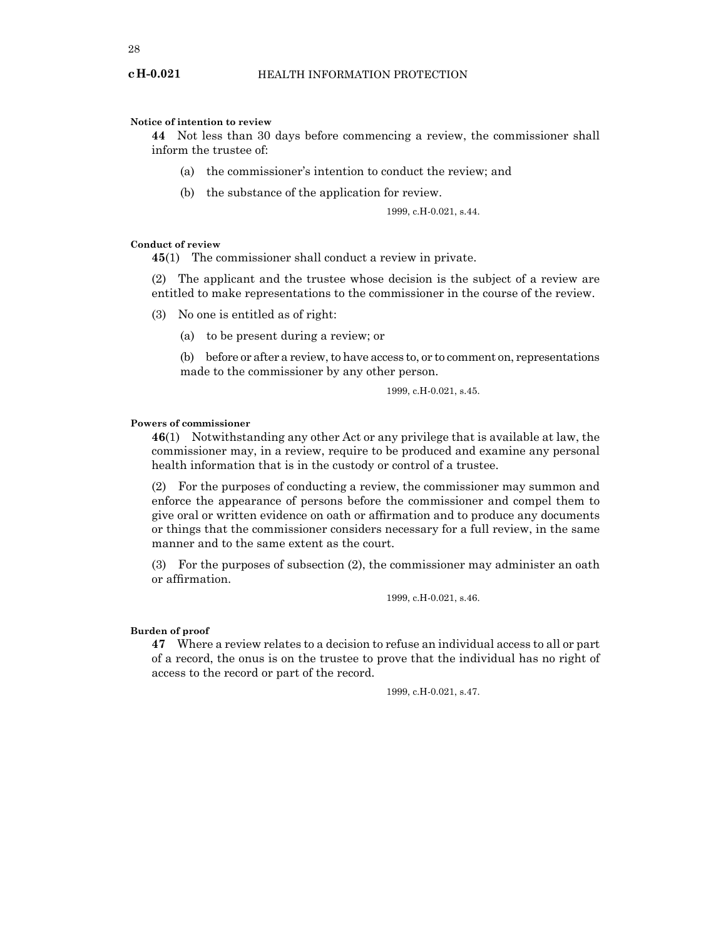#### **Notice of intention to review**

**44** Not less than 30 days before commencing a review, the commissioner shall inform the trustee of:

- (a) the commissioner's intention to conduct the review; and
- (b) the substance of the application for review.

$$
1999, c.H.0.021, s.44.
$$

#### **Conduct of review**

**45**(1) The commissioner shall conduct a review in private.

(2) The applicant and the trustee whose decision is the subject of a review are entitled to make representations to the commissioner in the course of the review.

- (3) No one is entitled as of right:
	- (a) to be present during a review; or

(b) before or after a review, to have access to, or to comment on, representations made to the commissioner by any other person.

1999, c.H-0.021, s.45.

#### **Powers of commissioner**

**46**(1) Notwithstanding any other Act or any privilege that is available at law, the commissioner may, in a review, require to be produced and examine any personal health information that is in the custody or control of a trustee.

(2) For the purposes of conducting a review, the commissioner may summon and enforce the appearance of persons before the commissioner and compel them to give oral or written evidence on oath or affirmation and to produce any documents or things that the commissioner considers necessary for a full review, in the same manner and to the same extent as the court.

(3) For the purposes of subsection (2), the commissioner may administer an oath or affirmation.

1999, c.H-0.021, s.46.

## **Burden of proof**

**47** Where a review relates to a decision to refuse an individual access to all or part of a record, the onus is on the trustee to prove that the individual has no right of access to the record or part of the record.

1999, c.H-0.021, s.47.

**cH-0.021**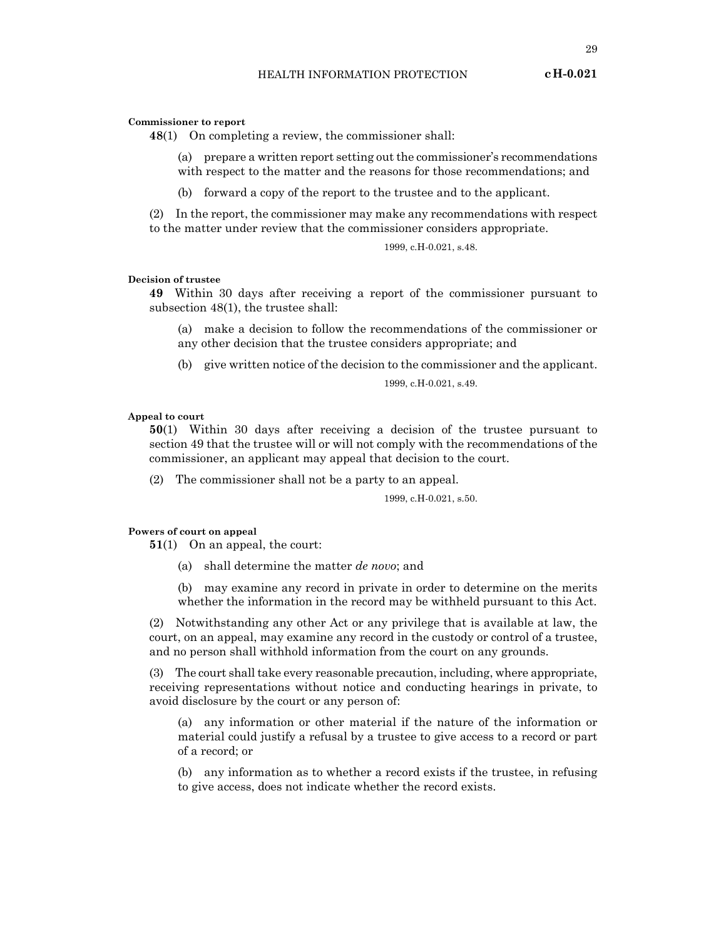#### **Commissioner to report**

**48**(1) On completing a review, the commissioner shall:

- (a) prepare a written report setting out the commissioner's recommendations with respect to the matter and the reasons for those recommendations; and
- (b) forward a copy of the report to the trustee and to the applicant.

(2) In the report, the commissioner may make any recommendations with respect to the matter under review that the commissioner considers appropriate.

1999, c.H-0.021, s.48.

#### **Decision of trustee**

**49** Within 30 days after receiving a report of the commissioner pursuant to subsection 48(1), the trustee shall:

(a) make a decision to follow the recommendations of the commissioner or any other decision that the trustee considers appropriate; and

(b) give written notice of the decision to the commissioner and the applicant.

1999, c.H-0.021, s.49.

#### **Appeal to court**

**50**(1) Within 30 days after receiving a decision of the trustee pursuant to section 49 that the trustee will or will not comply with the recommendations of the commissioner, an applicant may appeal that decision to the court.

(2) The commissioner shall not be a party to an appeal.

#### 1999, c.H-0.021, s.50.

#### **Powers of court on appeal**

**51**(1) On an appeal, the court:

(a) shall determine the matter *de novo*; and

(b) may examine any record in private in order to determine on the merits whether the information in the record may be withheld pursuant to this Act.

(2) Notwithstanding any other Act or any privilege that is available at law, the court, on an appeal, may examine any record in the custody or control of a trustee, and no person shall withhold information from the court on any grounds.

(3) The court shall take every reasonable precaution, including, where appropriate, receiving representations without notice and conducting hearings in private, to avoid disclosure by the court or any person of:

(a) any information or other material if the nature of the information or material could justify a refusal by a trustee to give access to a record or part of a record; or

(b) any information as to whether a record exists if the trustee, in refusing to give access, does not indicate whether the record exists.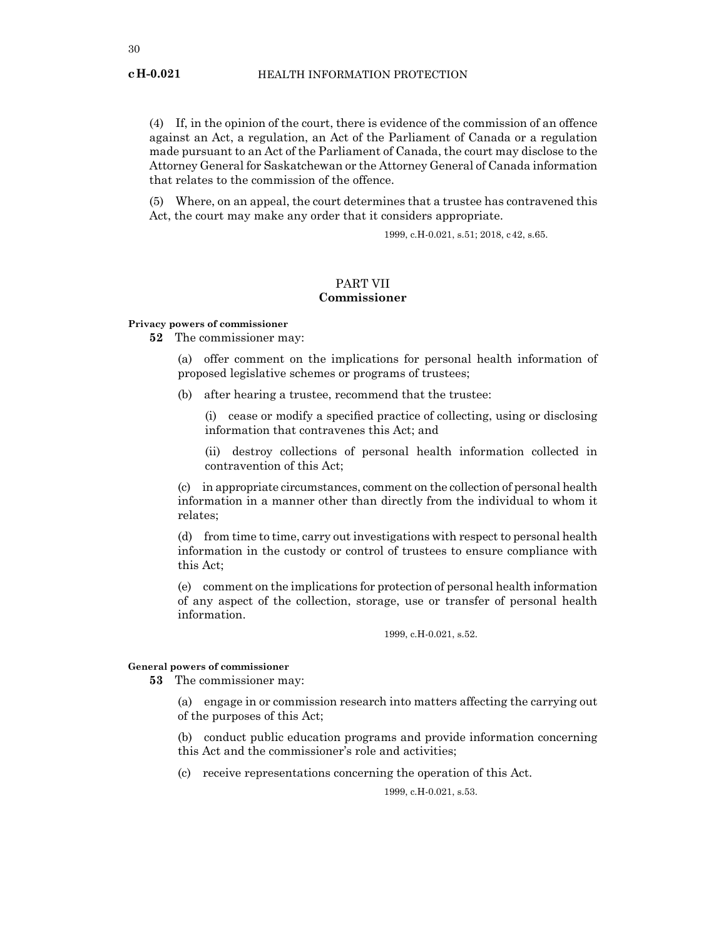(4) If, in the opinion of the court, there is evidence of the commission of an offence against an Act, a regulation, an Act of the Parliament of Canada or a regulation made pursuant to an Act of the Parliament of Canada, the court may disclose to the Attorney General for Saskatchewan or the Attorney General of Canada information that relates to the commission of the offence.

(5) Where, on an appeal, the court determines that a trustee has contravened this Act, the court may make any order that it considers appropriate.

1999, c.H-0.021, s.51; 2018, c42, s.65.

## PART VII **Commissioner**

#### **Privacy powers of commissioner**

**52** The commissioner may:

(a) offer comment on the implications for personal health information of proposed legislative schemes or programs of trustees;

(b) after hearing a trustee, recommend that the trustee:

(i) cease or modify a specified practice of collecting, using or disclosing information that contravenes this Act; and

(ii) destroy collections of personal health information collected in contravention of this Act;

(c) in appropriate circumstances, comment on the collection of personal health information in a manner other than directly from the individual to whom it relates;

(d) from time to time, carry out investigations with respect to personal health information in the custody or control of trustees to ensure compliance with this Act;

(e) comment on the implications for protection of personal health information of any aspect of the collection, storage, use or transfer of personal health information.

1999, c.H-0.021, s.52.

#### **General powers of commissioner**

**53** The commissioner may:

(a) engage in or commission research into matters affecting the carrying out of the purposes of this Act;

(b) conduct public education programs and provide information concerning this Act and the commissioner's role and activities;

(c) receive representations concerning the operation of this Act.

1999, c.H-0.021, s.53.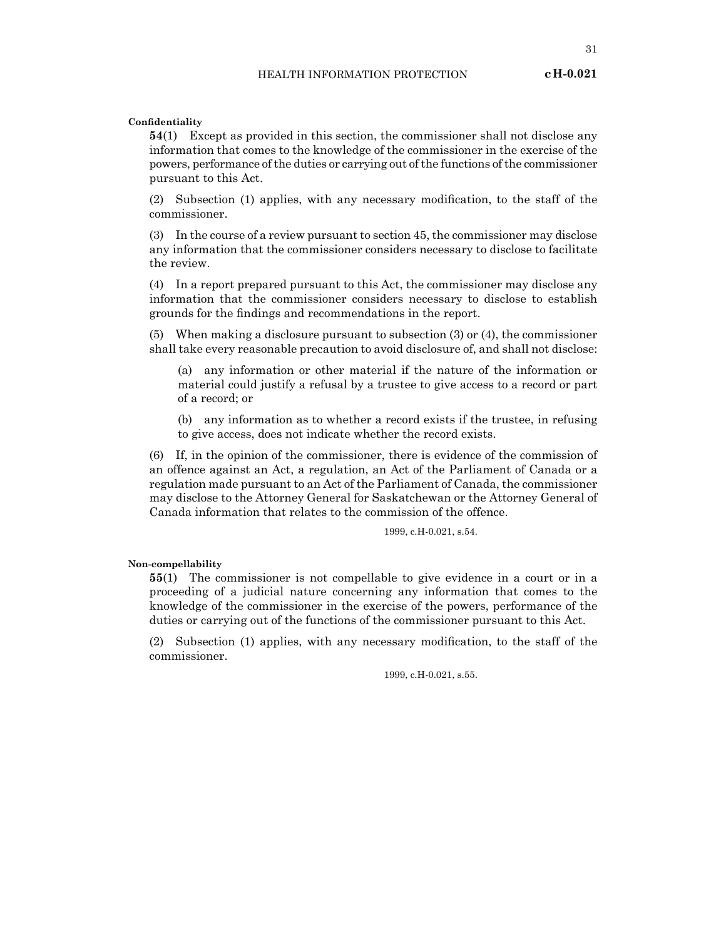**Confidentiality**

**54**(1) Except as provided in this section, the commissioner shall not disclose any information that comes to the knowledge of the commissioner in the exercise of the powers, performance of the duties or carrying out of the functions of the commissioner pursuant to this Act.

(2) Subsection (1) applies, with any necessary modification, to the staff of the commissioner.

(3) In the course of a review pursuant to section 45, the commissioner may disclose any information that the commissioner considers necessary to disclose to facilitate the review.

(4) In a report prepared pursuant to this Act, the commissioner may disclose any information that the commissioner considers necessary to disclose to establish grounds for the findings and recommendations in the report.

(5) When making a disclosure pursuant to subsection (3) or (4), the commissioner shall take every reasonable precaution to avoid disclosure of, and shall not disclose:

(a) any information or other material if the nature of the information or material could justify a refusal by a trustee to give access to a record or part of a record; or

(b) any information as to whether a record exists if the trustee, in refusing to give access, does not indicate whether the record exists.

(6) If, in the opinion of the commissioner, there is evidence of the commission of an offence against an Act, a regulation, an Act of the Parliament of Canada or a regulation made pursuant to an Act of the Parliament of Canada, the commissioner may disclose to the Attorney General for Saskatchewan or the Attorney General of Canada information that relates to the commission of the offence.

1999, c.H-0.021, s.54.

**Non-compellability**

**55**(1) The commissioner is not compellable to give evidence in a court or in a proceeding of a judicial nature concerning any information that comes to the knowledge of the commissioner in the exercise of the powers, performance of the duties or carrying out of the functions of the commissioner pursuant to this Act.

(2) Subsection (1) applies, with any necessary modification, to the staff of the commissioner.

1999, c.H-0.021, s.55.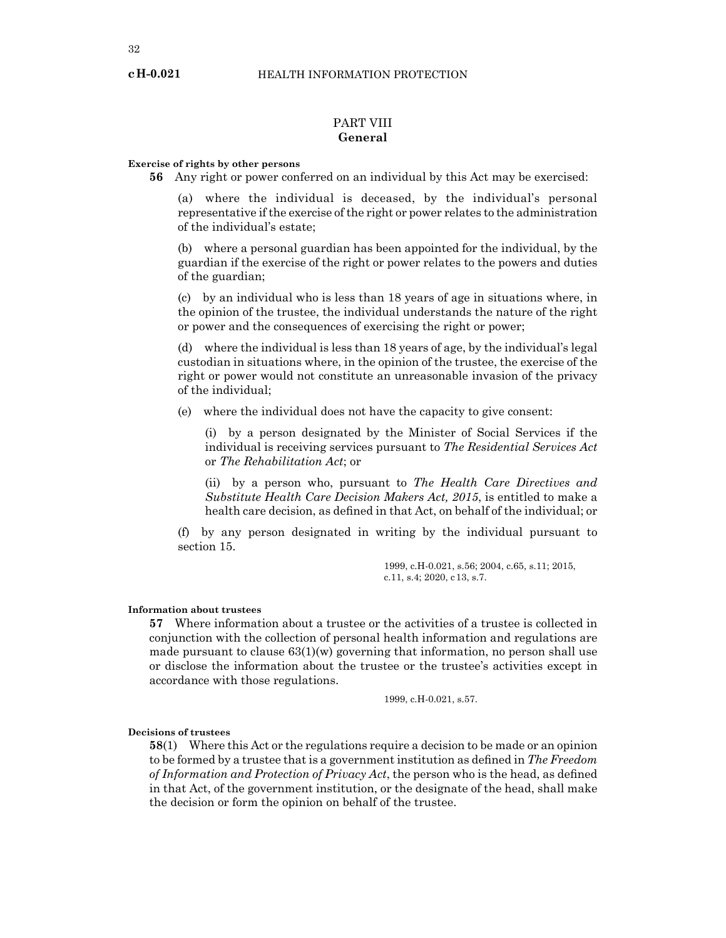## PART VIII **General**

#### **Exercise of rights by other persons**

**56** Any right or power conferred on an individual by this Act may be exercised:

(a) where the individual is deceased, by the individual's personal representative if the exercise of the right or power relates to the administration of the individual's estate;

(b) where a personal guardian has been appointed for the individual, by the guardian if the exercise of the right or power relates to the powers and duties of the guardian;

(c) by an individual who is less than 18 years of age in situations where, in the opinion of the trustee, the individual understands the nature of the right or power and the consequences of exercising the right or power;

(d) where the individual is less than 18 years of age, by the individual's legal custodian in situations where, in the opinion of the trustee, the exercise of the right or power would not constitute an unreasonable invasion of the privacy of the individual;

(e) where the individual does not have the capacity to give consent:

(i) by a person designated by the Minister of Social Services if the individual is receiving services pursuant to *The Residential Services Act* or *The Rehabilitation Act*; or

(ii) by a person who, pursuant to *The Health Care Directives and Substitute Health Care Decision Makers Act, 2015*, is entitled to make a health care decision, as defined in that Act, on behalf of the individual; or

(f) by any person designated in writing by the individual pursuant to section 15.

> 1999, c.H-0.021, s.56; 2004, c.65, s.11; 2015, c.11, s.4; 2020, c13, s.7.

#### **Information about trustees**

**57** Where information about a trustee or the activities of a trustee is collected in conjunction with the collection of personal health information and regulations are made pursuant to clause  $63(1)(w)$  governing that information, no person shall use or disclose the information about the trustee or the trustee's activities except in accordance with those regulations.

1999, c.H-0.021, s.57.

#### **Decisions of trustees**

**58**(1) Where this Act or the regulations require a decision to be made or an opinion to be formed by a trustee that is a government institution as defined in *The Freedom of Information and Protection of Privacy Act*, the person who is the head, as defined in that Act, of the government institution, or the designate of the head, shall make the decision or form the opinion on behalf of the trustee.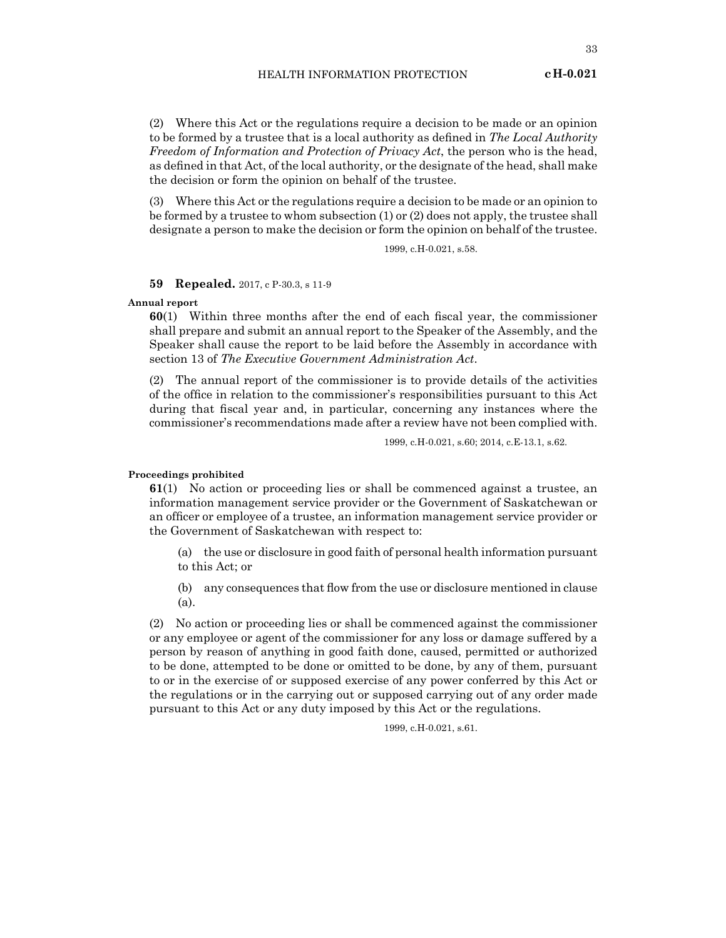(2) Where this Act or the regulations require a decision to be made or an opinion to be formed by a trustee that is a local authority as defined in *The Local Authority Freedom of Information and Protection of Privacy Act*, the person who is the head, as defined in that Act, of the local authority, or the designate of the head, shall make the decision or form the opinion on behalf of the trustee.

(3) Where this Act or the regulations require a decision to be made or an opinion to be formed by a trustee to whom subsection (1) or (2) does not apply, the trustee shall designate a person to make the decision or form the opinion on behalf of the trustee.

1999, c.H-0.021, s.58.

**59 Repealed.** 2017, c P-30.3, s 11-9

#### **Annual report**

**60**(1) Within three months after the end of each fiscal year, the commissioner shall prepare and submit an annual report to the Speaker of the Assembly, and the Speaker shall cause the report to be laid before the Assembly in accordance with section 13 of *The Executive Government Administration Act*.

(2) The annual report of the commissioner is to provide details of the activities of the office in relation to the commissioner's responsibilities pursuant to this Act during that fiscal year and, in particular, concerning any instances where the commissioner's recommendations made after a review have not been complied with.

1999, c.H-0.021, s.60; 2014, c.E-13.1, s.62.

#### **Proceedings prohibited**

**61**(1) No action or proceeding lies or shall be commenced against a trustee, an information management service provider or the Government of Saskatchewan or an officer or employee of a trustee, an information management service provider or the Government of Saskatchewan with respect to:

(a) the use or disclosure in good faith of personal health information pursuant to this Act; or

(b) any consequences that flow from the use or disclosure mentioned in clause (a).

(2) No action or proceeding lies or shall be commenced against the commissioner or any employee or agent of the commissioner for any loss or damage suffered by a person by reason of anything in good faith done, caused, permitted or authorized to be done, attempted to be done or omitted to be done, by any of them, pursuant to or in the exercise of or supposed exercise of any power conferred by this Act or the regulations or in the carrying out or supposed carrying out of any order made pursuant to this Act or any duty imposed by this Act or the regulations.

1999, c.H-0.021, s.61.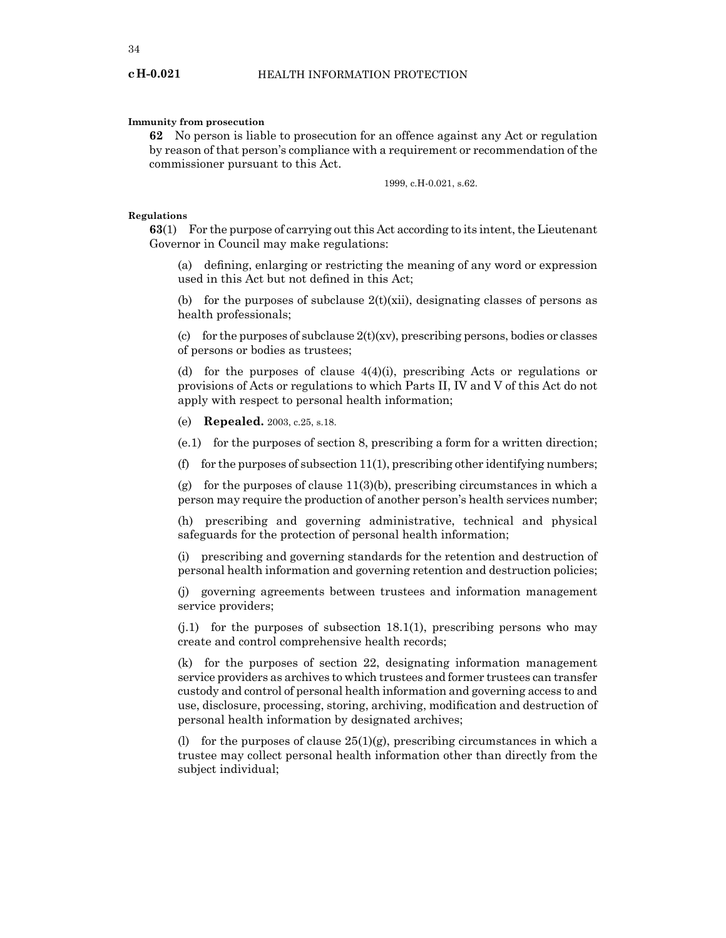#### **Immunity from prosecution**

**62** No person is liable to prosecution for an offence against any Act or regulation by reason of that person's compliance with a requirement or recommendation of the commissioner pursuant to this Act.

1999, c.H-0.021, s.62.

#### **Regulations**

**63**(1) For the purpose of carrying out this Act according to its intent, the Lieutenant Governor in Council may make regulations:

(a) defining, enlarging or restricting the meaning of any word or expression used in this Act but not defined in this Act;

(b) for the purposes of subclause  $2(t)(xii)$ , designating classes of persons as health professionals;

(c) for the purposes of subclause  $2(t)(xv)$ , prescribing persons, bodies or classes of persons or bodies as trustees;

(d) for the purposes of clause  $4(4)(i)$ , prescribing Acts or regulations or provisions of Acts or regulations to which Parts II, IV and V of this Act do not apply with respect to personal health information;

(e) **Repealed.** 2003, c.25, s.18.

(e.1) for the purposes of section 8, prescribing a form for a written direction;

(f) for the purposes of subsection  $11(1)$ , prescribing other identifying numbers;

(g) for the purposes of clause  $11(3)(b)$ , prescribing circumstances in which a person may require the production of another person's health services number;

(h) prescribing and governing administrative, technical and physical safeguards for the protection of personal health information;

(i) prescribing and governing standards for the retention and destruction of personal health information and governing retention and destruction policies;

(j) governing agreements between trustees and information management service providers;

 $(i,1)$  for the purposes of subsection 18.1(1), prescribing persons who may create and control comprehensive health records;

(k) for the purposes of section 22, designating information management service providers as archives to which trustees and former trustees can transfer custody and control of personal health information and governing access to and use, disclosure, processing, storing, archiving, modification and destruction of personal health information by designated archives;

(l) for the purposes of clause  $25(1)(g)$ , prescribing circumstances in which a trustee may collect personal health information other than directly from the subject individual;

**cH-0.021**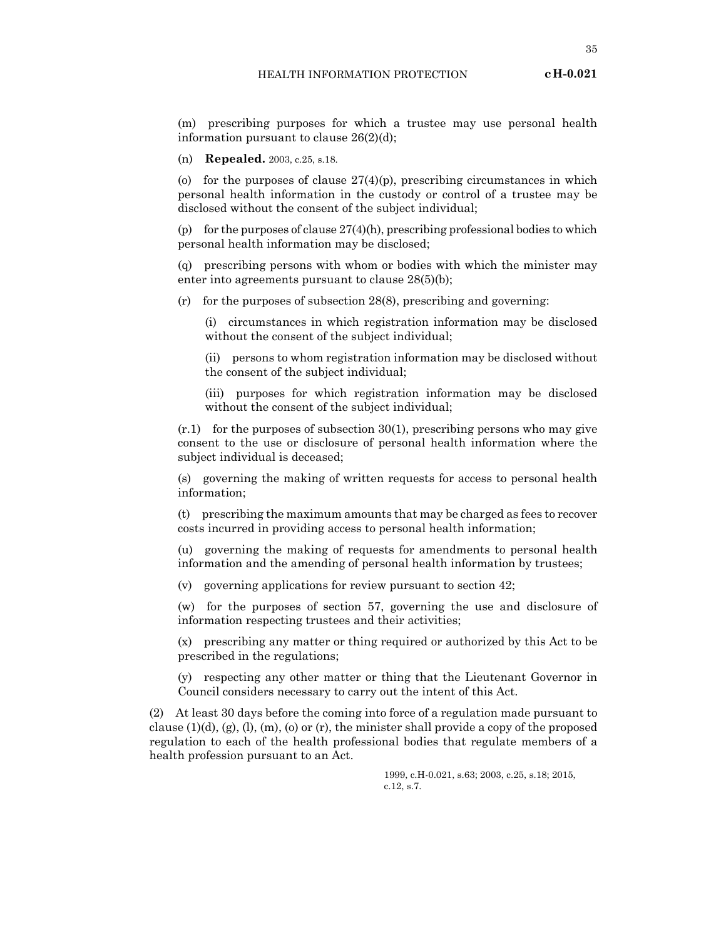(m) prescribing purposes for which a trustee may use personal health information pursuant to clause 26(2)(d);

(n) **Repealed.** 2003, c.25, s.18.

(o) for the purposes of clause  $27(4)(p)$ , prescribing circumstances in which personal health information in the custody or control of a trustee may be disclosed without the consent of the subject individual;

(p) for the purposes of clause  $27(4)$ (h), prescribing professional bodies to which personal health information may be disclosed;

(q) prescribing persons with whom or bodies with which the minister may enter into agreements pursuant to clause 28(5)(b);

(r) for the purposes of subsection 28(8), prescribing and governing:

(i) circumstances in which registration information may be disclosed without the consent of the subject individual;

(ii) persons to whom registration information may be disclosed without the consent of the subject individual;

(iii) purposes for which registration information may be disclosed without the consent of the subject individual;

 $(r.1)$  for the purposes of subsection 30(1), prescribing persons who may give consent to the use or disclosure of personal health information where the subject individual is deceased;

(s) governing the making of written requests for access to personal health information;

(t) prescribing the maximum amounts that may be charged as fees to recover costs incurred in providing access to personal health information;

(u) governing the making of requests for amendments to personal health information and the amending of personal health information by trustees;

(v) governing applications for review pursuant to section 42;

(w) for the purposes of section 57, governing the use and disclosure of information respecting trustees and their activities;

(x) prescribing any matter or thing required or authorized by this Act to be prescribed in the regulations;

(y) respecting any other matter or thing that the Lieutenant Governor in Council considers necessary to carry out the intent of this Act.

(2) At least 30 days before the coming into force of a regulation made pursuant to clause  $(1)(d)$ ,  $(g)$ ,  $(l)$ ,  $(m)$ ,  $(o)$  or  $(r)$ , the minister shall provide a copy of the proposed regulation to each of the health professional bodies that regulate members of a health profession pursuant to an Act.

> 1999, c.H-0.021, s.63; 2003, c.25, s.18; 2015, c.12, s.7.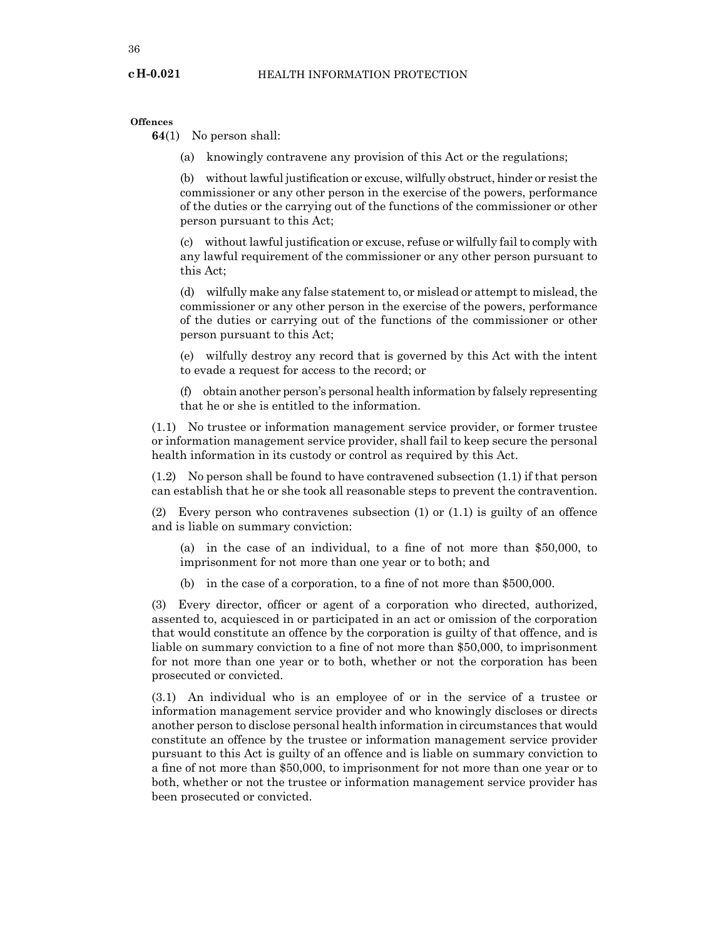**Offences**

**64**(1) No person shall:

(a) knowingly contravene any provision of this Act or the regulations;

(b) without lawful justification or excuse, wilfully obstruct, hinder or resist the commissioner or any other person in the exercise of the powers, performance of the duties or the carrying out of the functions of the commissioner or other person pursuant to this Act;

(c) without lawful justification or excuse, refuse or wilfully fail to comply with any lawful requirement of the commissioner or any other person pursuant to this Act;

(d) wilfully make any false statement to, or mislead or attempt to mislead, the commissioner or any other person in the exercise of the powers, performance of the duties or carrying out of the functions of the commissioner or other person pursuant to this Act;

(e) wilfully destroy any record that is governed by this Act with the intent to evade a request for access to the record; or

(f) obtain another person's personal health information by falsely representing that he or she is entitled to the information.

(1.1) No trustee or information management service provider, or former trustee or information management service provider, shall fail to keep secure the personal health information in its custody or control as required by this Act.

(1.2) No person shall be found to have contravened subsection (1.1) if that person can establish that he or she took all reasonable steps to prevent the contravention.

(2) Every person who contravenes subsection (1) or (1.1) is guilty of an offence and is liable on summary conviction:

(a) in the case of an individual, to a fine of not more than \$50,000, to imprisonment for not more than one year or to both; and

(b) in the case of a corporation, to a fine of not more than \$500,000.

(3) Every director, officer or agent of a corporation who directed, authorized, assented to, acquiesced in or participated in an act or omission of the corporation that would constitute an offence by the corporation is guilty of that offence, and is liable on summary conviction to a fine of not more than \$50,000, to imprisonment for not more than one year or to both, whether or not the corporation has been prosecuted or convicted.

(3.1) An individual who is an employee of or in the service of a trustee or information management service provider and who knowingly discloses or directs another person to disclose personal health information in circumstances that would constitute an offence by the trustee or information management service provider pursuant to this Act is guilty of an offence and is liable on summary conviction to a fine of not more than \$50,000, to imprisonment for not more than one year or to both, whether or not the trustee or information management service provider has been prosecuted or convicted.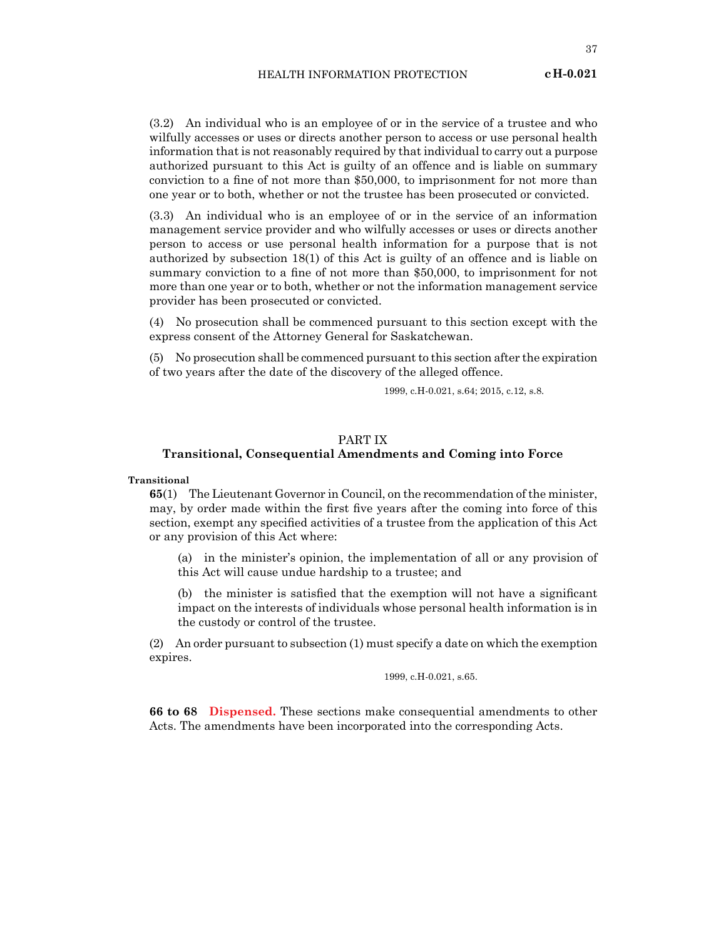(3.2) An individual who is an employee of or in the service of a trustee and who wilfully accesses or uses or directs another person to access or use personal health information that is not reasonably required by that individual to carry out a purpose authorized pursuant to this Act is guilty of an offence and is liable on summary conviction to a fine of not more than \$50,000, to imprisonment for not more than one year or to both, whether or not the trustee has been prosecuted or convicted.

(3.3) An individual who is an employee of or in the service of an information management service provider and who wilfully accesses or uses or directs another person to access or use personal health information for a purpose that is not authorized by subsection 18(1) of this Act is guilty of an offence and is liable on summary conviction to a fine of not more than \$50,000, to imprisonment for not more than one year or to both, whether or not the information management service provider has been prosecuted or convicted.

(4) No prosecution shall be commenced pursuant to this section except with the express consent of the Attorney General for Saskatchewan.

(5) No prosecution shall be commenced pursuant to this section after the expiration of two years after the date of the discovery of the alleged offence.

1999, c.H-0.021, s.64; 2015, c.12, s.8.

## PART IX

## **Transitional, Consequential Amendments and Coming into Force**

**Transitional**

**65**(1) The Lieutenant Governor in Council, on the recommendation of the minister, may, by order made within the first five years after the coming into force of this section, exempt any specified activities of a trustee from the application of this Act or any provision of this Act where:

(a) in the minister's opinion, the implementation of all or any provision of this Act will cause undue hardship to a trustee; and

(b) the minister is satisfied that the exemption will not have a significant impact on the interests of individuals whose personal health information is in the custody or control of the trustee.

(2) An order pursuant to subsection (1) must specify a date on which the exemption expires.

1999, c.H-0.021, s.65.

**66 to 68 Dispensed.** These sections make consequential amendments to other Acts. The amendments have been incorporated into the corresponding Acts.